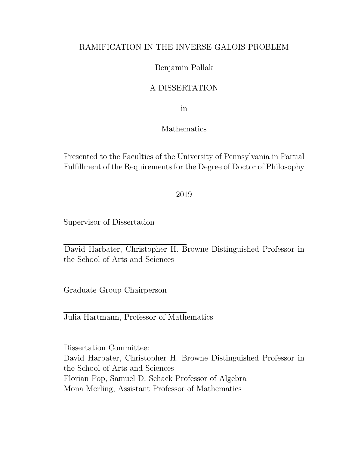## RAMIFICATION IN THE INVERSE GALOIS PROBLEM

## Benjamin Pollak

## A DISSERTATION

in

### Mathematics

Presented to the Faculties of the University of Pennsylvania in Partial Fulfillment of the Requirements for the Degree of Doctor of Philosophy

2019

Supervisor of Dissertation

David Harbater, Christopher H. Browne Distinguished Professor in the School of Arts and Sciences

Graduate Group Chairperson

Julia Hartmann, Professor of Mathematics

Dissertation Committee: David Harbater, Christopher H. Browne Distinguished Professor in the School of Arts and Sciences Florian Pop, Samuel D. Schack Professor of Algebra Mona Merling, Assistant Professor of Mathematics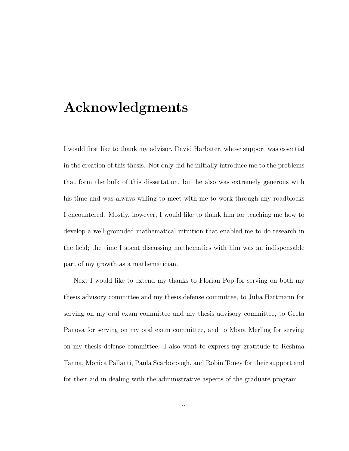# Acknowledgments

I would first like to thank my advisor, David Harbater, whose support was essential in the creation of this thesis. Not only did he initially introduce me to the problems that form the bulk of this dissertation, but he also was extremely generous with his time and was always willing to meet with me to work through any roadblocks I encountered. Mostly, however, I would like to thank him for teaching me how to develop a well grounded mathematical intuition that enabled me to do research in the field; the time I spent discussing mathematics with him was an indispensable part of my growth as a mathematician.

Next I would like to extend my thanks to Florian Pop for serving on both my thesis advisory committee and my thesis defense committee, to Julia Hartmann for serving on my oral exam committee and my thesis advisory committee, to Greta Panova for serving on my oral exam committee, and to Mona Merling for serving on my thesis defense committee. I also want to express my gratitude to Reshma Tanna, Monica Pallanti, Paula Scarborough, and Robin Toney for their support and for their aid in dealing with the administrative aspects of the graduate program.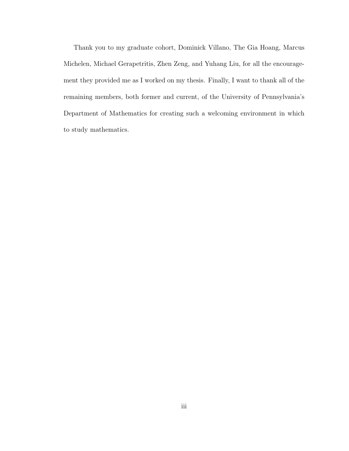Thank you to my graduate cohort, Dominick Villano, The Gia Hoang, Marcus Michelen, Michael Gerapetritis, Zhen Zeng, and Yuhang Liu, for all the encouragement they provided me as I worked on my thesis. Finally, I want to thank all of the remaining members, both former and current, of the University of Pennsylvania's Department of Mathematics for creating such a welcoming environment in which to study mathematics.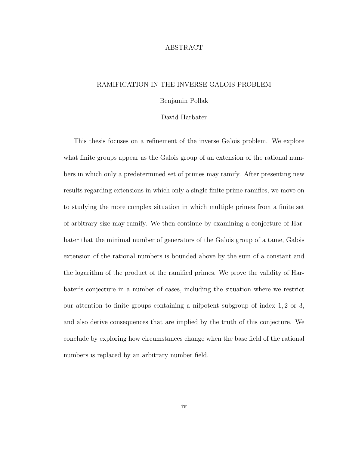#### ABSTRACT

#### RAMIFICATION IN THE INVERSE GALOIS PROBLEM

#### Benjamin Pollak

#### David Harbater

This thesis focuses on a refinement of the inverse Galois problem. We explore what finite groups appear as the Galois group of an extension of the rational numbers in which only a predetermined set of primes may ramify. After presenting new results regarding extensions in which only a single finite prime ramifies, we move on to studying the more complex situation in which multiple primes from a finite set of arbitrary size may ramify. We then continue by examining a conjecture of Harbater that the minimal number of generators of the Galois group of a tame, Galois extension of the rational numbers is bounded above by the sum of a constant and the logarithm of the product of the ramified primes. We prove the validity of Harbater's conjecture in a number of cases, including the situation where we restrict our attention to finite groups containing a nilpotent subgroup of index 1, 2 or 3, and also derive consequences that are implied by the truth of this conjecture. We conclude by exploring how circumstances change when the base field of the rational numbers is replaced by an arbitrary number field.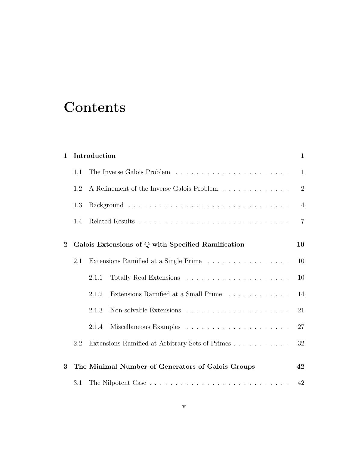# **Contents**

| $\mathbf{1}$ |                                                              | Introduction                                                                                             |    |  |  |  |  |
|--------------|--------------------------------------------------------------|----------------------------------------------------------------------------------------------------------|----|--|--|--|--|
|              | 1.1                                                          |                                                                                                          |    |  |  |  |  |
|              | 1.2                                                          | A Refinement of the Inverse Galois Problem $\ldots \ldots \ldots \ldots$                                 |    |  |  |  |  |
|              | 1.3                                                          |                                                                                                          |    |  |  |  |  |
|              | 1.4                                                          |                                                                                                          |    |  |  |  |  |
| $\mathbf{2}$ | Galois Extensions of $\mathbb Q$ with Specified Ramification |                                                                                                          |    |  |  |  |  |
|              | 2.1                                                          | Extensions Ramified at a Single Prime $\;\ldots\; \ldots\; \ldots\; \ldots\; \ldots\; \ldots\; \ldots\;$ | 10 |  |  |  |  |
|              |                                                              | 2.1.1                                                                                                    | 10 |  |  |  |  |
|              |                                                              | Extensions Ramified at a Small Prime<br>2.1.2                                                            | 14 |  |  |  |  |
|              |                                                              | Non-solvable Extensions $\ldots \ldots \ldots \ldots \ldots \ldots \ldots$<br>2.1.3                      | 21 |  |  |  |  |
|              |                                                              | 2.1.4                                                                                                    | 27 |  |  |  |  |
|              | 2.2                                                          | Extensions Ramified at Arbitrary Sets of Primes                                                          | 32 |  |  |  |  |
| 3            | The Minimal Number of Generators of Galois Groups            |                                                                                                          |    |  |  |  |  |
|              | 3.1                                                          |                                                                                                          |    |  |  |  |  |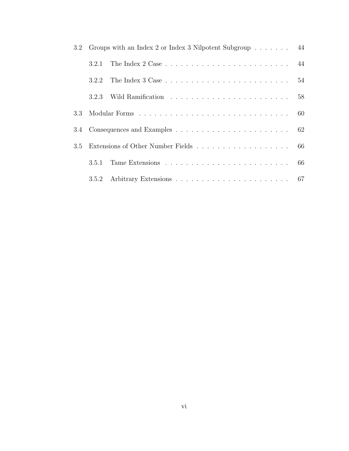|     | 3.2 Groups with an Index 2 or Index 3 Nilpotent Subgroup 44 |  |  |  |  |  |  |
|-----|-------------------------------------------------------------|--|--|--|--|--|--|
|     | 3.2.1                                                       |  |  |  |  |  |  |
|     | 3.2.2                                                       |  |  |  |  |  |  |
|     | 3.2.3                                                       |  |  |  |  |  |  |
|     |                                                             |  |  |  |  |  |  |
|     |                                                             |  |  |  |  |  |  |
| 3.5 |                                                             |  |  |  |  |  |  |
|     | 3.5.1                                                       |  |  |  |  |  |  |
|     | 3.5.2                                                       |  |  |  |  |  |  |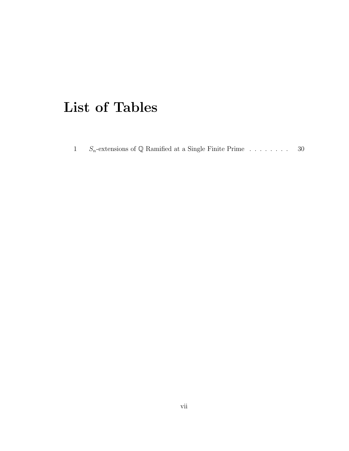# List of Tables

|  | $S_n$ -extensions of Q Ramified at a Single Finite Prime | -30 |
|--|----------------------------------------------------------|-----|
|  |                                                          |     |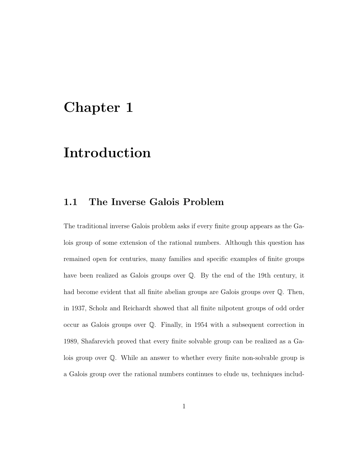# Chapter 1

# Introduction

# 1.1 The Inverse Galois Problem

The traditional inverse Galois problem asks if every finite group appears as the Galois group of some extension of the rational numbers. Although this question has remained open for centuries, many families and specific examples of finite groups have been realized as Galois groups over Q. By the end of the 19th century, it had become evident that all finite abelian groups are Galois groups over  $\mathbb Q$ . Then, in 1937, Scholz and Reichardt showed that all finite nilpotent groups of odd order occur as Galois groups over Q. Finally, in 1954 with a subsequent correction in 1989, Shafarevich proved that every finite solvable group can be realized as a Galois group over Q. While an answer to whether every finite non-solvable group is a Galois group over the rational numbers continues to elude us, techniques includ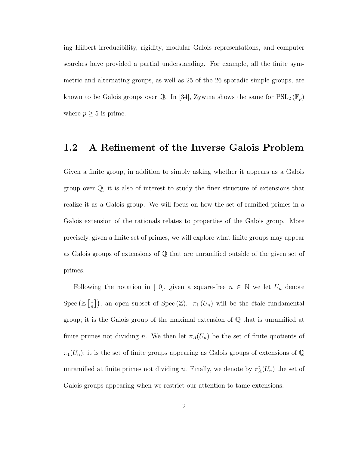ing Hilbert irreducibility, rigidity, modular Galois representations, and computer searches have provided a partial understanding. For example, all the finite symmetric and alternating groups, as well as 25 of the 26 sporadic simple groups, are known to be Galois groups over Q. In [34], Zywina shows the same for  $PSL_2(\mathbb{F}_p)$ where  $p \geq 5$  is prime.

### 1.2 A Refinement of the Inverse Galois Problem

Given a finite group, in addition to simply asking whether it appears as a Galois group over Q, it is also of interest to study the finer structure of extensions that realize it as a Galois group. We will focus on how the set of ramified primes in a Galois extension of the rationals relates to properties of the Galois group. More precisely, given a finite set of primes, we will explore what finite groups may appear as Galois groups of extensions of Q that are unramified outside of the given set of primes.

Following the notation in [10], given a square-free  $n \in \mathbb{N}$  we let  $U_n$  denote Spec  $(\mathbb{Z} \left[ \frac{1}{n} \right]$  $\frac{1}{n}$ , an open subset of Spec (Z).  $\pi_1(U_n)$  will be the étale fundamental group; it is the Galois group of the maximal extension of  $\mathbb Q$  that is unramified at finite primes not dividing n. We then let  $\pi_A(U_n)$  be the set of finite quotients of  $\pi_1(U_n)$ ; it is the set of finite groups appearing as Galois groups of extensions of Q unramified at finite primes not dividing n. Finally, we denote by  $\pi_A^t(U_n)$  the set of Galois groups appearing when we restrict our attention to tame extensions.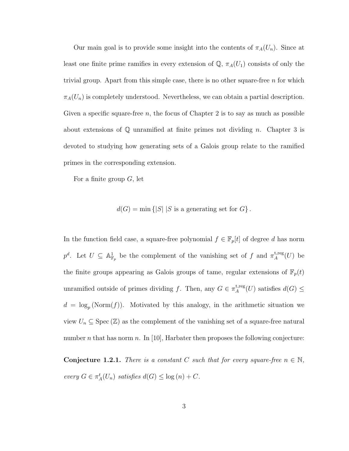Our main goal is to provide some insight into the contents of  $\pi_A(U_n)$ . Since at least one finite prime ramifies in every extension of  $\mathbb{Q}$ ,  $\pi_A(U_1)$  consists of only the trivial group. Apart from this simple case, there is no other square-free  $n$  for which  $\pi_A(U_n)$  is completely understood. Nevertheless, we can obtain a partial description. Given a specific square-free  $n$ , the focus of Chapter 2 is to say as much as possible about extensions of  $\mathbb Q$  unramified at finite primes not dividing n. Chapter 3 is devoted to studying how generating sets of a Galois group relate to the ramified primes in the corresponding extension.

For a finite group  $G$ , let

$$
d(G) = \min \{|S| | S \text{ is a generating set for } G\}.
$$

In the function field case, a square-free polynomial  $f \in \mathbb{F}_p[t]$  of degree d has norm  $p^d$ . Let  $U \subseteq \mathbb{A}^1_{\mathbb{F}_p}$  be the complement of the vanishing set of f and  $\pi_A^{\text{t,reg}}$  $A^{\text{t,reg}}(U)$  be the finite groups appearing as Galois groups of tame, regular extensions of  $\mathbb{F}_p(t)$ unramified outside of primes dividing f. Then, any  $G \in \pi_A^{\text{t,reg}}$ <sup>t,reg</sup> $(U)$  satisfies  $d(G) \leq$  $d = \log_p(\text{Norm}(f)).$  Motivated by this analogy, in the arithmetic situation we view  $U_n \subseteq \text{Spec}(\mathbb{Z})$  as the complement of the vanishing set of a square-free natural number *n* that has norm *n*. In [10], Harbater then proposes the following conjecture:

**Conjecture 1.2.1.** There is a constant C such that for every square-free  $n \in \mathbb{N}$ , every  $G \in \pi_A^t(U_n)$  satisfies  $d(G) \leq \log(n) + C$ .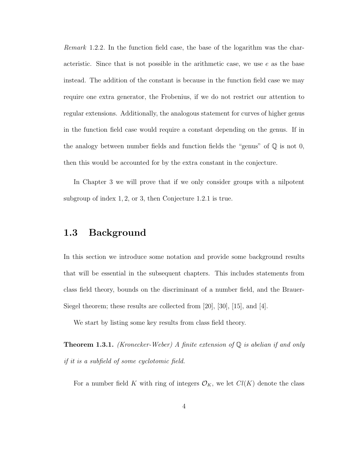Remark 1.2.2. In the function field case, the base of the logarithm was the characteristic. Since that is not possible in the arithmetic case, we use  $e$  as the base instead. The addition of the constant is because in the function field case we may require one extra generator, the Frobenius, if we do not restrict our attention to regular extensions. Additionally, the analogous statement for curves of higher genus in the function field case would require a constant depending on the genus. If in the analogy between number fields and function fields the "genus" of  $\mathbb Q$  is not 0, then this would be accounted for by the extra constant in the conjecture.

In Chapter 3 we will prove that if we only consider groups with a nilpotent subgroup of index 1, 2, or 3, then Conjecture 1.2.1 is true.

## 1.3 Background

In this section we introduce some notation and provide some background results that will be essential in the subsequent chapters. This includes statements from class field theory, bounds on the discriminant of a number field, and the Brauer-Siegel theorem; these results are collected from [20], [30], [15], and [4].

We start by listing some key results from class field theory.

**Theorem 1.3.1.** (Kronecker-Weber) A finite extension of  $\mathbb{Q}$  is abelian if and only if it is a subfield of some cyclotomic field.

For a number field K with ring of integers  $\mathcal{O}_K$ , we let  $Cl(K)$  denote the class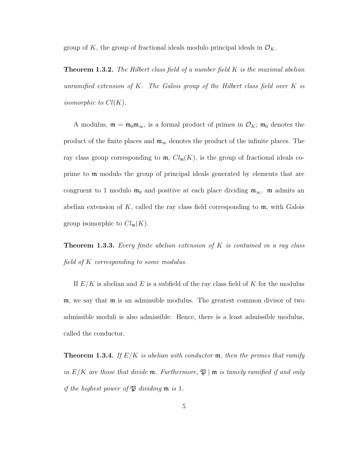group of K, the group of fractional ideals modulo principal ideals in  $\mathcal{O}_K$ .

**Theorem 1.3.2.** The Hilbert class field of a number field  $K$  is the maximal abelian unramified extension of K. The Galois group of the Hilbert class field over K is isomorphic to  $Cl(K)$ .

A modulus,  $\mathfrak{m} = \mathfrak{m}_0 \mathfrak{m}_{\infty}$ , is a formal product of primes in  $\mathcal{O}_K$ ;  $\mathfrak{m}_0$  denotes the product of the finite places and  $\mathfrak{m}_{\infty}$  denotes the product of the infinite places. The ray class group corresponding to  $\mathfrak{m}$ ,  $Cl_{\mathfrak{m}}(K)$ , is the group of fractional ideals coprime to m modulo the group of principal ideals generated by elements that are congruent to 1 modulo  $m_0$  and positive at each place dividing  $m_\infty$ . m admits an abelian extension of K, called the ray class field corresponding to  $m$ , with Galois group isomorphic to  $Cl_{\mathfrak{m}}(K)$ .

**Theorem 1.3.3.** Every finite abelian extension of K is contained in a ray class field of K corresponding to some modulus.

If  $E/K$  is abelian and E is a subfield of the ray class field of K for the modulus m, we say that m is an admissible modulus. The greatest common divisor of two admissible moduli is also admissible. Hence, there is a least admissible modulus, called the conductor.

**Theorem 1.3.4.** If  $E/K$  is abelian with conductor  $m$ , then the primes that ramify in  $E/K$  are those that divide  $\mathfrak{m}$ . Furthermore,  $\mathfrak{P} \mid \mathfrak{m}$  is tamely ramified if and only if the highest power of  $\mathfrak P$  dividing  $\mathfrak m$  is 1.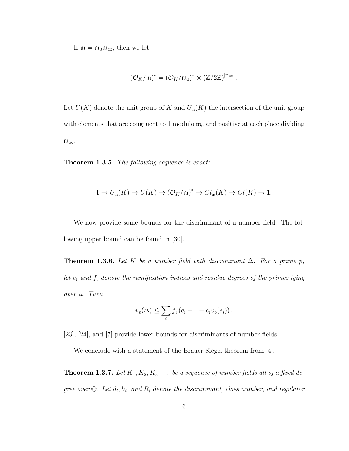If  $m = m_0 m_\infty$ , then we let

$$
(\mathcal{O}_K/\mathfrak{m})^* = (\mathcal{O}_K/\mathfrak{m}_0)^* \times (\mathbb{Z}/2\mathbb{Z})^{\vert \mathfrak{m}_\infty \vert}.
$$

Let  $U(K)$  denote the unit group of K and  $U_m(K)$  the intersection of the unit group with elements that are congruent to 1 modulo  $m_0$  and positive at each place dividing m∞.

Theorem 1.3.5. The following sequence is exact:

$$
1 \to U_{\mathfrak{m}}(K) \to U(K) \to (\mathcal{O}_K/\mathfrak{m})^* \to Cl_{\mathfrak{m}}(K) \to Cl(K) \to 1.
$$

We now provide some bounds for the discriminant of a number field. The following upper bound can be found in [30].

**Theorem 1.3.6.** Let K be a number field with discriminant  $\Delta$ . For a prime p, let  $e_i$  and  $f_i$  denote the ramification indices and residue degrees of the primes lying over it. Then

$$
v_p(\Delta) \le \sum_i f_i (e_i - 1 + e_i v_p(e_i)).
$$

[23], [24], and [7] provide lower bounds for discriminants of number fields.

We conclude with a statement of the Brauer-Siegel theorem from [4].

**Theorem 1.3.7.** Let  $K_1, K_2, K_3, \ldots$  be a sequence of number fields all of a fixed degree over  $\mathbb Q$ . Let  $d_i$ ,  $h_i$ , and  $R_i$  denote the discriminant, class number, and regulator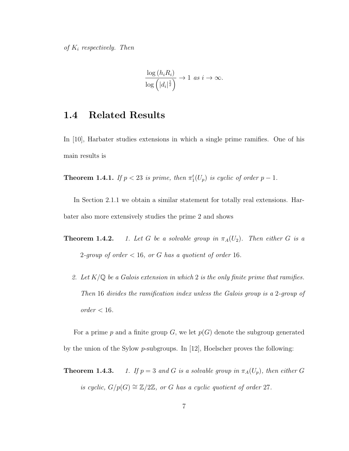$$
\frac{\log\left(h_i R_i\right)}{\log\left(\left|d_i\right|^{\frac{1}{2}}\right)} \to 1 \text{ as } i \to \infty.
$$

## 1.4 Related Results

In [10], Harbater studies extensions in which a single prime ramifies. One of his main results is

**Theorem 1.4.1.** If  $p < 23$  is prime, then  $\pi_1^t(U_p)$  is cyclic of order  $p-1$ .

In Section 2.1.1 we obtain a similar statement for totally real extensions. Harbater also more extensively studies the prime 2 and shows

- **Theorem 1.4.2.** 1. Let G be a solvable group in  $\pi_A(U_2)$ . Then either G is a 2-group of order  $< 16$ , or G has a quotient of order 16.
	- 2. Let  $K/\mathbb{Q}$  be a Galois extension in which 2 is the only finite prime that ramifies. Then 16 divides the ramification index unless the Galois group is a 2-group of  $order < 16$ .

For a prime p and a finite group  $G$ , we let  $p(G)$  denote the subgroup generated by the union of the Sylow  $p$ -subgroups. In [12], Hoelscher proves the following:

**Theorem 1.4.3.** 1. If  $p = 3$  and G is a solvable group in  $\pi_A(U_p)$ , then either G is cyclic,  $G/p(G) \cong \mathbb{Z}/2\mathbb{Z}$ , or G has a cyclic quotient of order 27.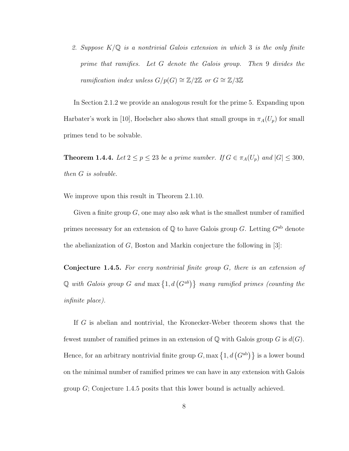2. Suppose  $K/\mathbb{Q}$  is a nontrivial Galois extension in which 3 is the only finite prime that ramifies. Let G denote the Galois group. Then 9 divides the ramification index unless  $G/p(G) \cong \mathbb{Z}/2\mathbb{Z}$  or  $G \cong \mathbb{Z}/3\mathbb{Z}$ 

In Section 2.1.2 we provide an analogous result for the prime 5. Expanding upon Harbater's work in [10], Hoelscher also shows that small groups in  $\pi_A(U_p)$  for small primes tend to be solvable.

**Theorem 1.4.4.** Let  $2 \le p \le 23$  be a prime number. If  $G \in \pi_A(U_p)$  and  $|G| \le 300$ , then G is solvable.

We improve upon this result in Theorem 2.1.10.

Given a finite group  $G$ , one may also ask what is the smallest number of ramified primes necessary for an extension of  $\mathbb Q$  to have Galois group G. Letting  $G^{ab}$  denote the abelianization of  $G$ , Boston and Markin conjecture the following in [3]:

**Conjecture 1.4.5.** For every nontrivial finite group  $G$ , there is an extension of Q with Galois group G and  $\max\{1, d(G^{ab})\}\$  many ramified primes (counting the infinite place).

If G is abelian and nontrivial, the Kronecker-Weber theorem shows that the fewest number of ramified primes in an extension of  $\mathbb Q$  with Galois group G is  $d(G)$ . Hence, for an arbitrary nontrivial finite group  $G$ , max  $\{1, d(G^{ab})\}$  is a lower bound on the minimal number of ramified primes we can have in any extension with Galois group  $G$ ; Conjecture 1.4.5 posits that this lower bound is actually achieved.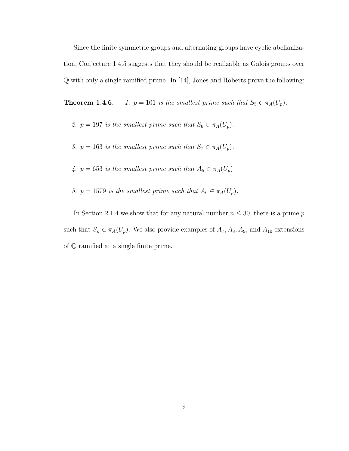Since the finite symmetric groups and alternating groups have cyclic abelianization, Conjecture 1.4.5 suggests that they should be realizable as Galois groups over Q with only a single ramified prime. In [14], Jones and Roberts prove the following:

**Theorem 1.4.6.** 1.  $p = 101$  is the smallest prime such that  $S_5 \in \pi_A(U_p)$ .

- 2.  $p = 197$  is the smallest prime such that  $S_6 \in \pi_A(U_p)$ .
- 3.  $p = 163$  is the smallest prime such that  $S_7 \in \pi_A(U_p)$ .
- 4.  $p = 653$  is the smallest prime such that  $A_5 \in \pi_A(U_p)$ .
- 5.  $p = 1579$  is the smallest prime such that  $A_6 \in \pi_A(U_p)$ .

In Section 2.1.4 we show that for any natural number  $n \leq 30$ , there is a prime p such that  $S_n \in \pi_A(U_p)$ . We also provide examples of  $A_7, A_8, A_9$ , and  $A_{10}$  extensions of Q ramified at a single finite prime.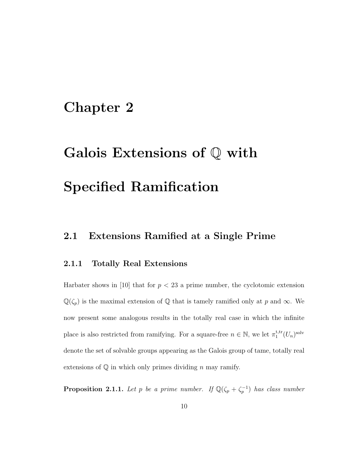# Chapter 2

# Galois Extensions of Q with Specified Ramification

## 2.1 Extensions Ramified at a Single Prime

#### 2.1.1 Totally Real Extensions

Harbater shows in [10] that for  $p < 23$  a prime number, the cyclotomic extension  $\mathbb{Q}(\zeta_p)$  is the maximal extension of  $\mathbb Q$  that is tamely ramified only at p and  $\infty$ . We now present some analogous results in the totally real case in which the infinite place is also restricted from ramifying. For a square-free  $n \in \mathbb{N}$ , we let  $\pi_1^{\text{t,tr}}$  $i_{1}^{\text{t,tr}}(U_{n})^{\text{solv}}$ denote the set of solvable groups appearing as the Galois group of tame, totally real extensions of  $\mathbb Q$  in which only primes dividing n may ramify.

**Proposition 2.1.1.** Let p be a prime number. If  $\mathbb{Q}(\zeta_p + \zeta_p^{-1})$  has class number.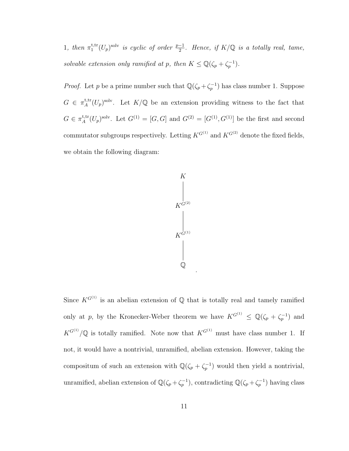1, then  $\pi_1^{\text{t,tr}}$  $_{1}^{\text{t,tr}}(U_{p})^{\text{solv}}$  is cyclic of order  $\frac{p-1}{2}$ . Hence, if  $K/\mathbb{Q}$  is a totally real, tame, solvable extension only ramified at p, then  $K \leq \mathbb{Q}(\zeta_p + \zeta_p^{-1}).$ 

*Proof.* Let p be a prime number such that  $\mathbb{Q}(\zeta_p + \zeta_p^{-1})$  has class number 1. Suppose  $G \in \pi_A^{\text{t,tr}}$ <sup>t,tr</sup> $(U_p)^{\text{solv}}$ . Let  $K/\mathbb{Q}$  be an extension providing witness to the fact that  $G \in \pi_A^{\text{t,tr}}$ <sup>t,tr</sup> $(U_p)^{\text{solv}}$ . Let  $G^{(1)} = [G, G]$  and  $G^{(2)} = [G^{(1)}, G^{(1)}]$  be the first and second commutator subgroups respectively. Letting  $K^{G^{(1)}}$  and  $K^{G^{(2)}}$  denote the fixed fields, we obtain the following diagram:



.

Since  $K^{G^{(1)}}$  is an abelian extension of  $\mathbb Q$  that is totally real and tamely ramified only at p, by the Kronecker-Weber theorem we have  $K^{G^{(1)}} \n\t\leq \mathbb{Q}(\zeta_p + \zeta_p^{-1})$  and  $K^{G^{(1)}}/\mathbb{Q}$  is totally ramified. Note now that  $K^{G^{(1)}}$  must have class number 1. If not, it would have a nontrivial, unramified, abelian extension. However, taking the compositum of such an extension with  $\mathbb{Q}(\zeta_p + \zeta_p^{-1})$  would then yield a nontrivial, unramified, abelian extension of  $\mathbb{Q}(\zeta_p + \zeta_p^{-1})$ , contradicting  $\mathbb{Q}(\zeta_p + \zeta_p^{-1})$  having class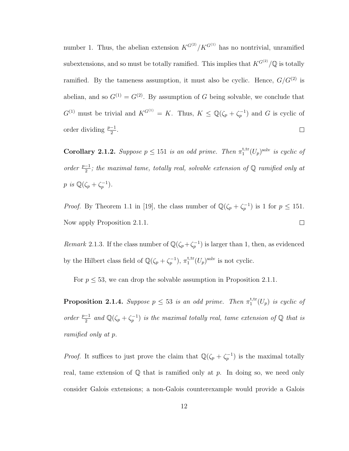number 1. Thus, the abelian extension  $K^{G^{(2)}}/K^{G^{(1)}}$  has no nontrivial, unramified subextensions, and so must be totally ramified. This implies that  $K^{G^{(2)}}/\mathbb{Q}$  is totally ramified. By the tameness assumption, it must also be cyclic. Hence,  $G/G^{(2)}$  is abelian, and so  $G^{(1)} = G^{(2)}$ . By assumption of G being solvable, we conclude that  $G^{(1)}$  must be trivial and  $K^{G^{(1)}} = K$ . Thus,  $K \leq \mathbb{Q}(\zeta_p + \zeta_p^{-1})$  and G is cyclic of order dividing  $\frac{p-1}{2}$ .  $\Box$ 

**Corollary 2.1.2.** Suppose  $p \le 151$  is an odd prime. Then  $\pi_1^{\text{t,tr}}$  $i_{1}^{\text{t,tr}}(U_{p})^{\text{solv}}$  is cyclic of order  $\frac{p-1}{2}$ ; the maximal tame, totally real, solvable extension of Q ramified only at p is  $\mathbb{Q}(\zeta_p + \zeta_p^{-1}).$ 

*Proof.* By Theorem 1.1 in [19], the class number of  $\mathbb{Q}(\zeta_p + \zeta_p^{-1})$  is 1 for  $p \le 151$ .  $\Box$ Now apply Proposition 2.1.1.

Remark 2.1.3. If the class number of  $\mathbb{Q}(\zeta_p + \zeta_p^{-1})$  is larger than 1, then, as evidenced by the Hilbert class field of  $\mathbb{Q}(\zeta_p + \zeta_p^{-1}), \pi_1^{\text{t,tr}}$  $i_{1}^{\text{t,tr}}(U_{p})^{\text{solv}}$  is not cyclic.

For  $p \leq 53$ , we can drop the solvable assumption in Proposition 2.1.1.

**Proposition 2.1.4.** Suppose  $p \leq 53$  is an odd prime. Then  $\pi_1^{\text{t,tr}}$  $_1^{\text{t,tr}}(U_p)$  is cyclic of order  $\frac{p-1}{2}$  and  $\mathbb{Q}(\zeta_p + \zeta_p^{-1})$  is the maximal totally real, tame extension of  $\mathbb{Q}$  that is ramified only at p.

*Proof.* It suffices to just prove the claim that  $\mathbb{Q}(\zeta_p + \zeta_p^{-1})$  is the maximal totally real, tame extension of  $\mathbb Q$  that is ramified only at p. In doing so, we need only consider Galois extensions; a non-Galois counterexample would provide a Galois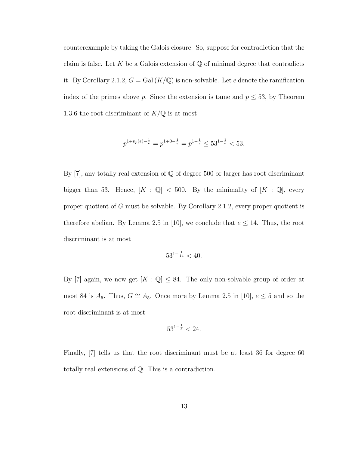counterexample by taking the Galois closure. So, suppose for contradiction that the claim is false. Let K be a Galois extension of  $\mathbb Q$  of minimal degree that contradicts it. By Corollary 2.1.2,  $G = \text{Gal}(K/\mathbb{Q})$  is non-solvable. Let e denote the ramification index of the primes above p. Since the extension is tame and  $p \leq 53$ , by Theorem 1.3.6 the root discriminant of  $K/\mathbb{Q}$  is at most

$$
p^{1+v_p(e)-\frac{1}{e}} = p^{1+0-\frac{1}{e}} = p^{1-\frac{1}{e}} \le 53^{1-\frac{1}{e}} < 53.
$$

By  $[7]$ , any totally real extension of  $\mathbb Q$  of degree 500 or larger has root discriminant bigger than 53. Hence,  $[K : \mathbb{Q}] < 500$ . By the minimality of  $[K : \mathbb{Q}]$ , every proper quotient of G must be solvable. By Corollary 2.1.2, every proper quotient is therefore abelian. By Lemma 2.5 in [10], we conclude that  $e \leq 14$ . Thus, the root discriminant is at most

$$
53^{1-\frac{1}{14}} < 40.
$$

By [7] again, we now get  $[K : \mathbb{Q}] \leq 84$ . The only non-solvable group of order at most 84 is  $A_5$ . Thus,  $G \cong A_5$ . Once more by Lemma 2.5 in [10],  $e \leq 5$  and so the root discriminant is at most

$$
53^{1-\frac{1}{5}} < 24.
$$

Finally, [7] tells us that the root discriminant must be at least 36 for degree 60 totally real extensions of Q. This is a contradiction.  $\Box$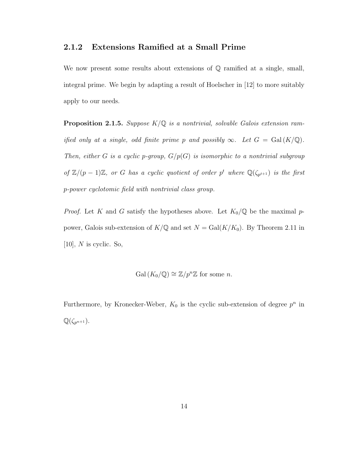#### 2.1.2 Extensions Ramified at a Small Prime

We now present some results about extensions of  $\mathbb Q$  ramified at a single, small, integral prime. We begin by adapting a result of Hoelscher in [12] to more suitably apply to our needs.

**Proposition 2.1.5.** Suppose  $K/\mathbb{Q}$  is a nontrivial, solvable Galois extension ramified only at a single, odd finite prime p and possibly  $\infty$ . Let  $G = \text{Gal}(K/\mathbb{Q})$ . Then, either G is a cyclic p-group,  $G/p(G)$  is isomorphic to a nontrivial subgroup of  $\mathbb{Z}/(p-1)\mathbb{Z}$ , or G has a cyclic quotient of order p<sup>t</sup> where  $\mathbb{Q}(\zeta_{p^{t+1}})$  is the first p-power cyclotomic field with nontrivial class group.

*Proof.* Let K and G satisfy the hypotheses above. Let  $K_0/\mathbb{Q}$  be the maximal ppower, Galois sub-extension of  $K/\mathbb{Q}$  and set  $N = \text{Gal}(K/K_0)$ . By Theorem 2.11 in  $[10]$ , N is cyclic. So,

$$
Gal (K_0/\mathbb{Q}) \cong \mathbb{Z}/p^n \mathbb{Z} \text{ for some } n.
$$

Furthermore, by Kronecker-Weber,  $K_0$  is the cyclic sub-extension of degree  $p^n$  in  $\mathbb{Q}(\zeta_{p^{n+1}}).$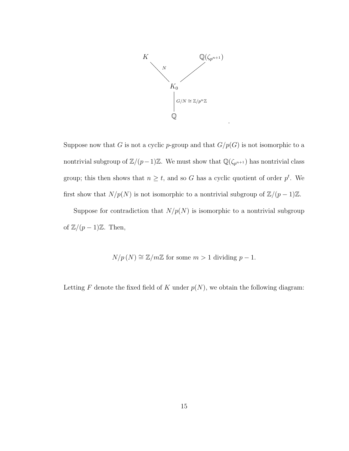

.

Suppose now that G is not a cyclic p-group and that  $G/p(G)$  is not isomorphic to a nontrivial subgroup of  $\mathbb{Z}/(p-1)\mathbb{Z}$ . We must show that  $\mathbb{Q}(\zeta_{p^{n+1}})$  has nontrivial class group; this then shows that  $n \geq t$ , and so G has a cyclic quotient of order  $p^t$ . We first show that  $N/p(N)$  is not isomorphic to a nontrivial subgroup of  $\mathbb{Z}/(p-1)\mathbb{Z}$ .

Suppose for contradiction that  $N/p(N)$  is isomorphic to a nontrivial subgroup of  $\mathbb{Z}/(p-1)\mathbb{Z}$ . Then,

 $N/p(N) \cong \mathbb{Z}/m\mathbb{Z}$  for some  $m > 1$  dividing  $p-1$ .

Letting F denote the fixed field of K under  $p(N)$ , we obtain the following diagram: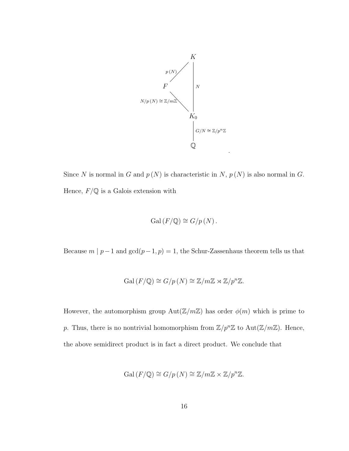

Since N is normal in G and  $p(N)$  is characteristic in N,  $p(N)$  is also normal in G. Hence,  $F/{\mathbb Q}$  is a Galois extension with

$$
Gal(F/\mathbb{Q}) \cong G/p\left(N\right).
$$

Because  $m \mid p-1$  and  $\gcd(p-1,p) = 1,$  the Schur-Zassenhaus theorem tells us that

$$
Gal(F/\mathbb{Q}) \cong G/p(N) \cong \mathbb{Z}/m\mathbb{Z} \rtimes \mathbb{Z}/p^n\mathbb{Z}.
$$

However, the automorphism group  $Aut(\mathbb{Z}/m\mathbb{Z})$  has order  $\phi(m)$  which is prime to p. Thus, there is no nontrivial homomorphism from  $\mathbb{Z}/p^n\mathbb{Z}$  to  $\text{Aut}(\mathbb{Z}/m\mathbb{Z})$ . Hence, the above semidirect product is in fact a direct product. We conclude that

$$
Gal(F/\mathbb{Q}) \cong G/p(N) \cong \mathbb{Z}/m\mathbb{Z} \times \mathbb{Z}/p^n\mathbb{Z}.
$$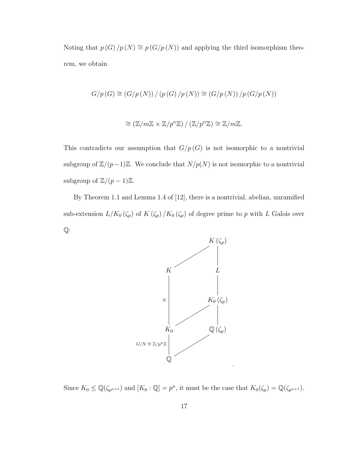Noting that  $p(G)/p(N) \cong p(G/p(N))$  and applying the third isomorphism theorem, we obtain

$$
G/p(G) \cong (G/p(N)) / (p(G)/p(N)) \cong (G/p(N)) / p(G/p(N))
$$

$$
\cong (\mathbb{Z}/m\mathbb{Z} \times \mathbb{Z}/p^n\mathbb{Z}) / (\mathbb{Z}/p^n\mathbb{Z}) \cong \mathbb{Z}/m\mathbb{Z}.
$$

This contradicts our assumption that  $G/p(G)$  is not isomorphic to a nontrivial subgroup of  $\mathbb{Z}/(p-1)\mathbb{Z}$ . We conclude that  $N/p(N)$  is not isomorphic to a nontrivial subgroup of  $\mathbb{Z}/(p-1)\mathbb{Z}$ .

By Theorem 1.1 and Lemma 1.4 of [12], there is a nontrivial, abelian, unramified sub-extension  $L/K_0(\zeta_p)$  of  $K(\zeta_p)/K_0(\zeta_p)$  of degree prime to p with L Galois over  $\mathbb{Q}$ :



Since  $K_0 \leq \mathbb{Q}(\zeta_{p^{n+1}})$  and  $[K_0 : \mathbb{Q}] = p^n$ , it must be the case that  $K_0(\zeta_p) = \mathbb{Q}(\zeta_{p^{n+1}})$ .

.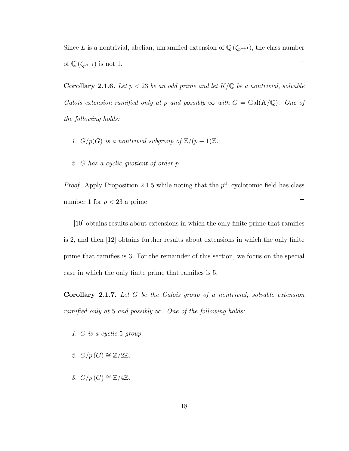Since L is a nontrivial, abelian, unramified extension of  $\mathbb{Q}(\zeta_{p^{n+1}})$ , the class number of  $\mathbb{Q}(\zeta_{p^{n+1}})$  is not 1.  $\Box$ 

**Corollary 2.1.6.** Let  $p < 23$  be an odd prime and let  $K/\mathbb{Q}$  be a nontrivial, solvable Galois extension ramified only at p and possibly  $\infty$  with  $G = \text{Gal}(K/\mathbb{Q})$ . One of the following holds:

- 1.  $G/p(G)$  is a nontrivial subgroup of  $\mathbb{Z}/(p-1)\mathbb{Z}$ .
- 2. G has a cyclic quotient of order p.

*Proof.* Apply Proposition 2.1.5 while noting that the  $p<sup>th</sup>$  cyclotomic field has class  $\Box$ number 1 for  $p < 23$  a prime.

[10] obtains results about extensions in which the only finite prime that ramifies is 2, and then [12] obtains further results about extensions in which the only finite prime that ramifies is 3. For the remainder of this section, we focus on the special case in which the only finite prime that ramifies is 5.

**Corollary 2.1.7.** Let  $G$  be the Galois group of a nontrivial, solvable extension ramified only at 5 and possibly  $\infty$ . One of the following holds:

- 1. G is a cyclic 5-group.
- 2.  $G/p(G) \cong \mathbb{Z}/2\mathbb{Z}$ .
- 3.  $G/p(G) \cong \mathbb{Z}/4\mathbb{Z}$ .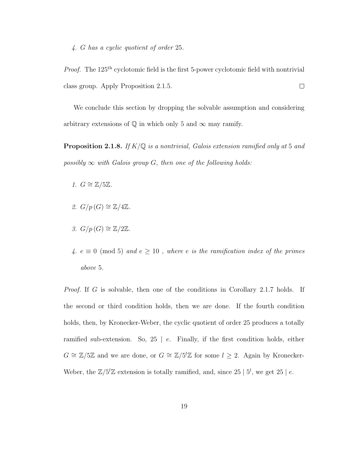4. G has a cyclic quotient of order 25.

Proof. The 125<sup>th</sup> cyclotomic field is the first 5-power cyclotomic field with nontrivial  $\Box$ class group. Apply Proposition 2.1.5.

We conclude this section by dropping the solvable assumption and considering arbitrary extensions of  $\mathbb Q$  in which only 5 and  $\infty$  may ramify.

**Proposition 2.1.8.** If  $K/\mathbb{Q}$  is a nontrivial, Galois extension ramified only at 5 and possibly  $\infty$  with Galois group G, then one of the following holds:

- 1.  $G \cong \mathbb{Z}/5\mathbb{Z}$ .
- 2.  $G/p(G) \cong \mathbb{Z}/4\mathbb{Z}$ .
- 3.  $G/p(G) \cong \mathbb{Z}/2\mathbb{Z}$ .
- 4.  $e \equiv 0 \pmod{5}$  and  $e \ge 10$ , where e is the ramification index of the primes above 5.

Proof. If G is solvable, then one of the conditions in Corollary 2.1.7 holds. If the second or third condition holds, then we are done. If the fourth condition holds, then, by Kronecker-Weber, the cyclic quotient of order 25 produces a totally ramified sub-extension. So,  $25 \mid e$ . Finally, if the first condition holds, either  $G \cong \mathbb{Z}/5\mathbb{Z}$  and we are done, or  $G \cong \mathbb{Z}/5^l\mathbb{Z}$  for some  $l \geq 2$ . Again by Kronecker-Weber, the  $\mathbb{Z}/5^{l}\mathbb{Z}$  extension is totally ramified, and, since 25 |  $5^{l}$ , we get 25 |  $e$ .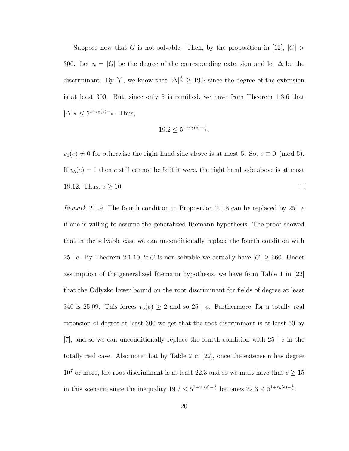Suppose now that G is not solvable. Then, by the proposition in [12],  $|G| >$ 300. Let  $n = |G|$  be the degree of the corresponding extension and let  $\Delta$  be the discriminant. By [7], we know that  $|\Delta|^{\frac{1}{n}} \geq 19.2$  since the degree of the extension is at least 300. But, since only 5 is ramified, we have from Theorem 1.3.6 that  $|\Delta|^{\frac{1}{n}} \leq 5^{1+v_5(e)-\frac{1}{e}}$ . Thus,

$$
19.2 \le 5^{1+v_5(e) - \frac{1}{e}}.
$$

 $v_5(e) \neq 0$  for otherwise the right hand side above is at most 5. So,  $e \equiv 0 \pmod{5}$ . If  $v_5(e) = 1$  then e still cannot be 5; if it were, the right hand side above is at most 18.12. Thus,  $e \ge 10$ .  $\Box$ 

Remark 2.1.9. The fourth condition in Proposition 2.1.8 can be replaced by 25 | e if one is willing to assume the generalized Riemann hypothesis. The proof showed that in the solvable case we can unconditionally replace the fourth condition with 25 | e. By Theorem 2.1.10, if G is non-solvable we actually have  $|G| \geq 660$ . Under assumption of the generalized Riemann hypothesis, we have from Table 1 in [22] that the Odlyzko lower bound on the root discriminant for fields of degree at least 340 is 25.09. This forces  $v_5(e) \geq 2$  and so 25 | e. Furthermore, for a totally real extension of degree at least 300 we get that the root discriminant is at least 50 by  $[7]$ , and so we can unconditionally replace the fourth condition with 25 | e in the totally real case. Also note that by Table 2 in [22], once the extension has degree  $10^7$  or more, the root discriminant is at least 22.3 and so we must have that  $e \ge 15$ in this scenario since the inequality  $19.2 \leq 5^{1+v_5(e)-\frac{1}{e}}$  becomes  $22.3 \leq 5^{1+v_5(e)-\frac{1}{e}}$ .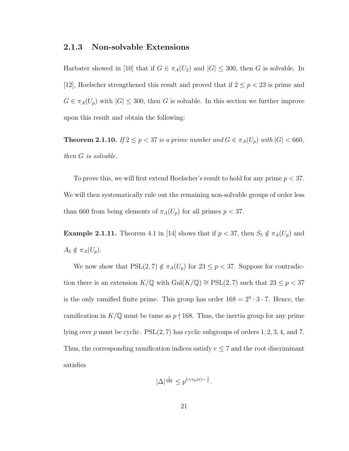#### 2.1.3 Non-solvable Extensions

Harbater showed in [10] that if  $G \in \pi_A(U_2)$  and  $|G| \leq 300$ , then G is solvable. In [12], Hoelscher strengthened this result and proved that if  $2 \le p < 23$  is prime and  $G \in \pi_A(U_p)$  with  $|G| \leq 300$ , then G is solvable. In this section we further improve upon this result and obtain the following:

**Theorem 2.1.10.** If  $2 \le p < 37$  is a prime number and  $G \in \pi_A(U_p)$  with  $|G| < 660$ , then G is solvable.

To prove this, we will first extend Hoelscher's result to hold for any prime  $p < 37$ . We will then systematically rule out the remaining non-solvable groups of order less than 660 from being elements of  $\pi_A(U_p)$  for all primes  $p < 37$ .

**Example 2.1.11.** Theorem 4.1 in [14] shows that if  $p < 37$ , then  $S_5 \notin \pi_A(U_p)$  and  $A_5 \notin \pi_A(U_p).$ 

We now show that  $PSL(2, 7) \notin \pi_A(U_p)$  for  $23 \leq p < 37$ . Suppose for contradiction there is an extension  $K/\mathbb{Q}$  with  $\mathrm{Gal}(K/\mathbb{Q})\cong \mathrm{PSL}(2,7)$  such that  $23\leq p < 37$ is the only ramified finite prime. This group has order  $168 = 2^3 \cdot 3 \cdot 7$ . Hence, the ramification in  $K/\mathbb{Q}$  must be tame as  $p \nmid 168$ . Thus, the inertia group for any prime lying over p must be cyclic.  $PSL(2, 7)$  has cyclic subgroups of orders 1, 2, 3, 4, and 7. Thus, the corresponding ramification indices satisfy  $e \leq 7$  and the root discriminant satisfies

$$
|\Delta|^{\frac{1}{168}} \le p^{1+v_p(e) - \frac{1}{e}}.
$$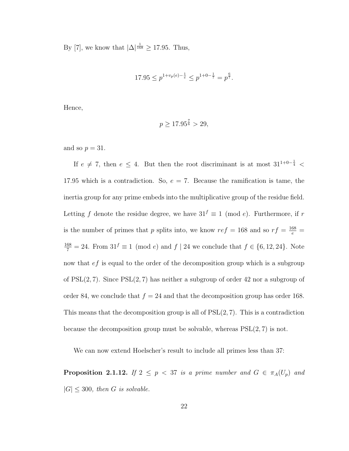By [7], we know that  $|\Delta|^{\frac{1}{168}} \geq 17.95$ . Thus,

$$
17.95 \le p^{1+v_p(e) - \frac{1}{e}} \le p^{1+0-\frac{1}{7}} = p^{\frac{6}{7}}.
$$

Hence,

$$
p \ge 17.95^{\frac{7}{6}} > 29,
$$

and so  $p = 31$ .

If  $e \neq 7$ , then  $e \leq 4$ . But then the root discriminant is at most  $31^{1+0-\frac{1}{4}}$ 17.95 which is a contradiction. So,  $e = 7$ . Because the ramification is tame, the inertia group for any prime embeds into the multiplicative group of the residue field. Letting f denote the residue degree, we have  $31^f \equiv 1 \pmod{e}$ . Furthermore, if r is the number of primes that p splits into, we know  $ref = 168$  and so  $rf = \frac{168}{e}$  $\frac{168}{7} = 24$ . From  $31^f \equiv 1 \pmod{e}$  and  $f | 24$  we conclude that  $f \in \{6, 12, 24\}$ . Note now that *ef* is equal to the order of the decomposition group which is a subgroup of  $PSL(2, 7)$ . Since  $PSL(2, 7)$  has neither a subgroup of order 42 nor a subgroup of order 84, we conclude that  $f = 24$  and that the decomposition group has order 168. This means that the decomposition group is all of  $PSL(2, 7)$ . This is a contradiction because the decomposition group must be solvable, whereas  $PSL(2, 7)$  is not.

We can now extend Hoelscher's result to include all primes less than 37:

**Proposition 2.1.12.** If  $2 \leq p < 37$  is a prime number and  $G \in \pi_A(U_p)$  and  $|G| \leq 300$ , then G is solvable.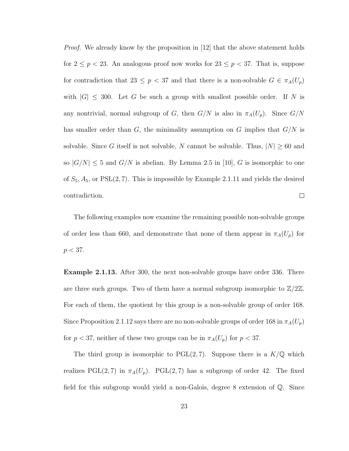*Proof.* We already know by the proposition in [12] that the above statement holds for  $2 \le p < 23$ . An analogous proof now works for  $23 \le p < 37$ . That is, suppose for contradiction that 23  $\leq$  p  $\lt$  37 and that there is a non-solvable  $G \in \pi_A(U_p)$ with  $|G| \leq 300$ . Let G be such a group with smallest possible order. If N is any nontrivial, normal subgroup of G, then  $G/N$  is also in  $\pi_A(U_p)$ . Since  $G/N$ has smaller order than  $G$ , the minimality assumption on  $G$  implies that  $G/N$  is solvable. Since G itself is not solvable, N cannot be solvable. Thus,  $|N| \geq 60$  and so  $|G/N| \leq 5$  and  $G/N$  is abelian. By Lemma 2.5 in [10], G is isomorphic to one of  $S_5$ ,  $A_5$ , or PSL(2, 7). This is impossible by Example 2.1.11 and yields the desired  $\Box$ contradiction.

The following examples now examine the remaining possible non-solvable groups of order less than 660, and demonstrate that none of them appear in  $\pi_A(U_p)$  for  $p < 37$ .

Example 2.1.13. After 300, the next non-solvable groups have order 336. There are three such groups. Two of them have a normal subgroup isomorphic to  $\mathbb{Z}/2\mathbb{Z}$ . For each of them, the quotient by this group is a non-solvable group of order 168. Since Proposition 2.1.12 says there are no non-solvable groups of order 168 in  $\pi_A(U_p)$ for  $p < 37$ , neither of these two groups can be in  $\pi_A(U_p)$  for  $p < 37$ .

The third group is isomorphic to  $PGL(2, 7)$ . Suppose there is a  $K/\mathbb{Q}$  which realizes PGL(2,7) in  $\pi_A(U_p)$ . PGL(2,7) has a subgroup of order 42. The fixed field for this subgroup would yield a non-Galois, degree 8 extension of Q. Since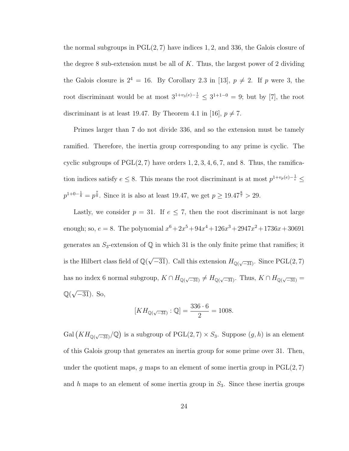the normal subgroups in  $PGL(2, 7)$  have indices 1, 2, and 336, the Galois closure of the degree 8 sub-extension must be all of  $K$ . Thus, the largest power of 2 dividing the Galois closure is  $2^4 = 16$ . By Corollary 2.3 in [13],  $p \neq 2$ . If p were 3, the root discriminant would be at most  $3^{1+v_3(e)-\frac{1}{e}} \leq 3^{1+1-0} = 9$ ; but by [7], the root discriminant is at least 19.47. By Theorem 4.1 in [16],  $p \neq 7$ .

Primes larger than 7 do not divide 336, and so the extension must be tamely ramified. Therefore, the inertia group corresponding to any prime is cyclic. The cyclic subgroups of  $PGL(2, 7)$  have orders  $1, 2, 3, 4, 6, 7$ , and 8. Thus, the ramification indices satisfy  $e \leq 8$ . This means the root discriminant is at most  $p^{1+v_p(e)-\frac{1}{e}} \leq$  $p^{1+0-\frac{1}{8}} = p^{\frac{7}{8}}$ . Since it is also at least 19.47, we get  $p \ge 19.47^{\frac{8}{7}} > 29$ .

Lastly, we consider  $p = 31$ . If  $e \le 7$ , then the root discriminant is not large enough; so,  $e = 8$ . The polynomial  $x^6 + 2x^5 + 94x^4 + 126x^3 + 2947x^2 + 1736x + 30691$ generates an  $S_3$ -extension of  $\mathbb Q$  in which 31 is the only finite prime that ramifies; it is the Hilbert class field of  $\mathbb{Q}(\sqrt{2})$  $\overline{-31}$ ). Call this extension  $H_{\mathbb{Q}(\sqrt{-31})}$ . Since PGL(2,7) has no index 6 normal subgroup,  $K \cap H_{\mathbb{Q}(\sqrt{-31})} \neq H_{\mathbb{Q}(\sqrt{-31})}$ . Thus,  $K \cap H_{\mathbb{Q}(\sqrt{-31})} =$ Q( √  $\overline{-31}$ ). So,

$$
[KH_{\mathbb{Q}(\sqrt{-31})}:\mathbb{Q}] = \frac{336 \cdot 6}{2} = 1008.
$$

Gal  $(KH_{\mathbb{Q}(\sqrt{-31})}/\mathbb{Q})$  is a subgroup of PGL $(2,7) \times S_3$ . Suppose  $(g,h)$  is an element of this Galois group that generates an inertia group for some prime over 31. Then, under the quotient maps, q maps to an element of some inertia group in  $PGL(2, 7)$ and h maps to an element of some inertia group in  $S_3$ . Since these inertia groups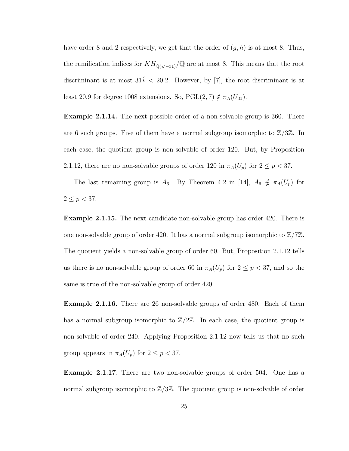have order 8 and 2 respectively, we get that the order of  $(g, h)$  is at most 8. Thus, the ramification indices for  $KH_{\mathbb{Q}(\sqrt{-31})}/\mathbb{Q}$  are at most 8. This means that the root discriminant is at most  $31^{\frac{7}{8}} < 20.2$ . However, by [7], the root discriminant is at least 20.9 for degree 1008 extensions. So, PGL(2, 7)  $\notin \pi_A(U_{31})$ .

Example 2.1.14. The next possible order of a non-solvable group is 360. There are 6 such groups. Five of them have a normal subgroup isomorphic to  $\mathbb{Z}/3\mathbb{Z}$ . In each case, the quotient group is non-solvable of order 120. But, by Proposition 2.1.12, there are no non-solvable groups of order 120 in  $\pi_A(U_p)$  for  $2 \le p < 37$ .

The last remaining group is  $A_6$ . By Theorem 4.2 in [14],  $A_6 \notin \pi_A(U_p)$  for  $2\leq p<37.$ 

Example 2.1.15. The next candidate non-solvable group has order 420. There is one non-solvable group of order 420. It has a normal subgroup isomorphic to  $\mathbb{Z}/7\mathbb{Z}$ . The quotient yields a non-solvable group of order 60. But, Proposition 2.1.12 tells us there is no non-solvable group of order 60 in  $\pi_A(U_p)$  for  $2 \leq p < 37$ , and so the same is true of the non-solvable group of order 420.

Example 2.1.16. There are 26 non-solvable groups of order 480. Each of them has a normal subgroup isomorphic to  $\mathbb{Z}/2\mathbb{Z}$ . In each case, the quotient group is non-solvable of order 240. Applying Proposition 2.1.12 now tells us that no such group appears in  $\pi_A(U_p)$  for  $2 \leq p < 37$ .

Example 2.1.17. There are two non-solvable groups of order 504. One has a normal subgroup isomorphic to  $\mathbb{Z}/3\mathbb{Z}$ . The quotient group is non-solvable of order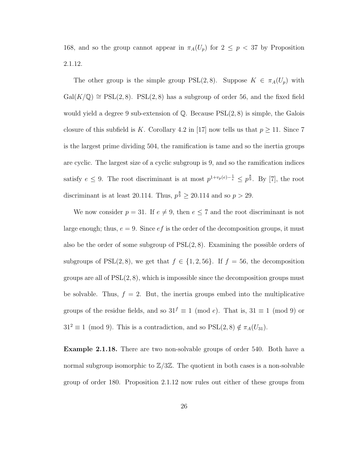168, and so the group cannot appear in  $\pi_A(U_p)$  for  $2 \leq p < 37$  by Proposition 2.1.12.

The other group is the simple group  $PSL(2, 8)$ . Suppose  $K \in \pi_A(U_p)$  with  $Gal(K/\mathbb{Q}) \cong PSL(2,8)$ . PSL(2,8) has a subgroup of order 56, and the fixed field would yield a degree 9 sub-extension of  $\mathbb{Q}$ . Because  $PSL(2, 8)$  is simple, the Galois closure of this subfield is K. Corollary 4.2 in [17] now tells us that  $p \ge 11$ . Since 7 is the largest prime dividing 504, the ramification is tame and so the inertia groups are cyclic. The largest size of a cyclic subgroup is 9, and so the ramification indices satisfy  $e \leq 9$ . The root discriminant is at most  $p^{1+v_p(e)-\frac{1}{e}} \leq p^{\frac{8}{9}}$ . By [7], the root discriminant is at least 20.114. Thus,  $p^{\frac{8}{9}} \geq 20.114$  and so  $p > 29$ .

We now consider  $p = 31$ . If  $e \neq 9$ , then  $e \leq 7$  and the root discriminant is not large enough; thus,  $e = 9$ . Since  $ef$  is the order of the decomposition groups, it must also be the order of some subgroup of  $PSL(2, 8)$ . Examining the possible orders of subgroups of PSL(2,8), we get that  $f \in \{1, 2, 56\}$ . If  $f = 56$ , the decomposition groups are all of  $PSL(2, 8)$ , which is impossible since the decomposition groups must be solvable. Thus,  $f = 2$ . But, the inertia groups embed into the multiplicative groups of the residue fields, and so  $31^f \equiv 1 \pmod{e}$ . That is,  $31 \equiv 1 \pmod{9}$  or  $31^2 \equiv 1 \pmod{9}$ . This is a contradiction, and so PSL(2, 8)  $\notin \pi_A(U_{31})$ .

Example 2.1.18. There are two non-solvable groups of order 540. Both have a normal subgroup isomorphic to  $\mathbb{Z}/3\mathbb{Z}$ . The quotient in both cases is a non-solvable group of order 180. Proposition 2.1.12 now rules out either of these groups from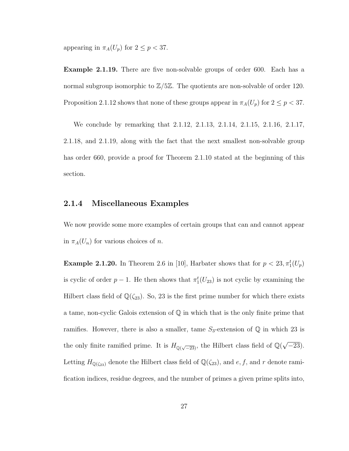appearing in  $\pi_A(U_p)$  for  $2 \leq p < 37$ .

**Example 2.1.19.** There are five non-solvable groups of order 600. Each has a normal subgroup isomorphic to  $\mathbb{Z}/5\mathbb{Z}$ . The quotients are non-solvable of order 120. Proposition 2.1.12 shows that none of these groups appear in  $\pi_A(U_p)$  for  $2 \le p < 37$ .

We conclude by remarking that 2.1.12, 2.1.13, 2.1.14, 2.1.15, 2.1.16, 2.1.17, 2.1.18, and 2.1.19, along with the fact that the next smallest non-solvable group has order 660, provide a proof for Theorem 2.1.10 stated at the beginning of this section.

#### 2.1.4 Miscellaneous Examples

We now provide some more examples of certain groups that can and cannot appear in  $\pi_A(U_n)$  for various choices of n.

**Example 2.1.20.** In Theorem 2.6 in [10], Harbater shows that for  $p < 23, \pi_1^t(U_p)$ is cyclic of order  $p-1$ . He then shows that  $\pi_1^t(U_{23})$  is not cyclic by examining the Hilbert class field of  $\mathbb{Q}(\zeta_{23})$ . So, 23 is the first prime number for which there exists a tame, non-cyclic Galois extension of Q in which that is the only finite prime that ramifies. However, there is also a smaller, tame  $S_3$ -extension of  $\mathbb Q$  in which 23 is the only finite ramified prime. It is  $H_{\mathbb{Q}(\sqrt{-23})}$ , the Hilbert class field of  $\mathbb{Q}(\sqrt{-23})$  $(-23)$ . Letting  $H_{\mathbb{Q}(\zeta_{23})}$  denote the Hilbert class field of  $\mathbb{Q}(\zeta_{23})$ , and  $e, f$ , and r denote ramification indices, residue degrees, and the number of primes a given prime splits into,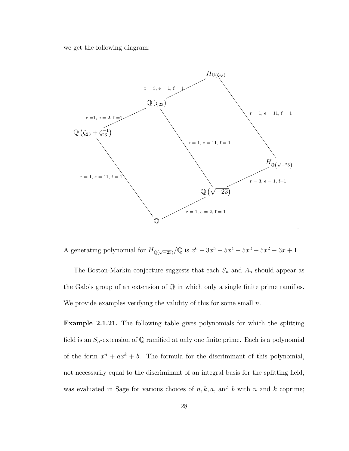we get the following diagram:



A generating polynomial for  $H_{\mathbb{Q}(\sqrt{-23})}/\mathbb{Q}$  is  $x^6 - 3x^5 + 5x^4 - 5x^3 + 5x^2 - 3x + 1$ .

The Boston-Markin conjecture suggests that each  $S_n$  and  $A_n$  should appear as the Galois group of an extension of Q in which only a single finite prime ramifies. We provide examples verifying the validity of this for some small  $n$ .

Example 2.1.21. The following table gives polynomials for which the splitting field is an  $S_n$ -extension of  $\mathbb Q$  ramified at only one finite prime. Each is a polynomial of the form  $x^n + ax^k + b$ . The formula for the discriminant of this polynomial, not necessarily equal to the discriminant of an integral basis for the splitting field, was evaluated in Sage for various choices of  $n, k, a$ , and b with n and k coprime;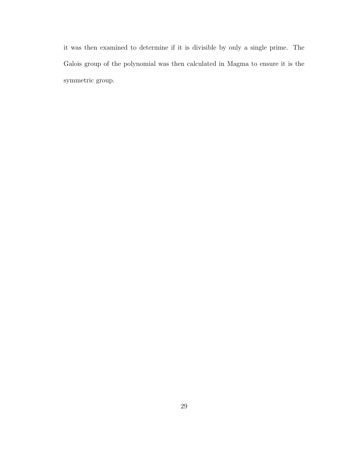it was then examined to determine if it is divisible by only a single prime. The Galois group of the polynomial was then calculated in Magma to ensure it is the symmetric group.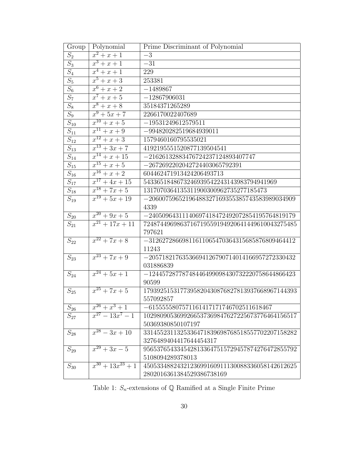| Group               | Polynomial               | Prime Discriminant of Polynomial                |
|---------------------|--------------------------|-------------------------------------------------|
| $\overline{S_2}$    | $x^2 + x + 1$            | $-\overline{3}$                                 |
| $\overline{S_3}$    | $x^3 + x + 1$            | $-31$                                           |
| $\overline{S_4}$    | $x^4 + x + 1$            | 229                                             |
| $\overline{S_5}$    | $x^5 + x + 3$            | 253381                                          |
| $S_6$               | $x^6 + x + 2$            | $-1489867$                                      |
| $\overline{S_7}$    | $x^7 + x + 5$            | $-12867906031$                                  |
| $\overline{S_8}$    | $\overline{x^8 + x + 8}$ | 35184371265289                                  |
| $\overline{S_9}$    | $\sqrt{x^9+5x}+7$        | 2266170022407689                                |
| $\overline{S_{10}}$ | $\sqrt{x^{10}+x+5}$      | $-19531249612579511$                            |
| $\mathcal{S}_{11}$  | $\overline{x^{11}+x+9}$  | $-994820282519684939011$                        |
| $S_{12}$            | $x^{12} + x + 3$         | 1579460160795535021                             |
| $\overline{S}_{13}$ | $x^{13} + 3x + 7$        | 4192195551520877139504541                       |
| $S_{14}$            | $x^{14} + x + 15$        | $-21626132883476724237124893407747$             |
| $\overline{S_{15}}$ | $x^{15} + x + 5$         | $-2672692202042724403065792391$                 |
| $\mathcal{S}_{16}$  | $\sqrt{x^{16}+x}+2$      | 604462471913424206493713                        |
| $\overline{S_{17}}$ | $x^{17} + 4x + 15$       | 5433651848673246939542243143983794941969        |
| $\mathcal{S}_{18}$  | $x^{18} + 7x + 5$        | 1317070364135311900300962735277185473           |
| $\mathcal{S}_{19}$  | $\sqrt{x^{19}+5x+19}$    | $-20600759652196488327169355385743583989034909$ |
|                     |                          | 4339                                            |
| $S_{20}$            | $x^{20} + 9x + 5$        | $-24050964311140697418472492072854195764819179$ |
| $\mathcal{S}_{21}$  | $x^{21} + 17x + 11$      | 7248744969863716719559194920641449610043275485  |
|                     |                          | 797621                                          |
| $S_{22}$            | $x^{22} + 7x + 8$        | $-31262728669811611065470364315685876809464412$ |
|                     |                          | 11243                                           |
| $S_{23}$            | $x^{23} + 7x + 9$        | $-20571821763536694126790714014166957272330432$ |
|                     |                          | 031886839                                       |
| $S_{24}$            | $x^{24} + 5x + 1$        | $-12445728778748446499098430732220758644866423$ |
|                     |                          | 90599                                           |
| $S_{25}$            | $\sqrt{x^{25}+7x+5}$     | 1793925153177395820430876827813937668967144393  |
|                     |                          | 557092857                                       |
| $S_{26}$            | $x^{26}+x^3+1$           | $-6155555807571161417171746702511618467$        |
| $S_{27}$            | $x^{27} - 13x^7 - 1$     | 1029809053699266537369847627225673776464156517  |
|                     |                          | 50369380850107197                               |
| $S_{28}$            | $x^{28} - 3x + 10$       | 3314552311325336471839698768518557702207158282  |
|                     |                          | 3276489404417644454317                          |
| $S_{29}$            | $x^{29} + 3x - 5$        | 9565376543345428133647515729457874276472855792  |
|                     |                          | 5108094289378013                                |
| $S_{30}$            | $x^{30} + 13x^{23} + 1$  | 4505334882432123699160911130088336058142612625  |
|                     |                          | 2802016361384529386738169                       |

Table 1:  $S_n\text{-extension}$  of  ${\mathbb Q}$  Ramified at a Single Finite Prime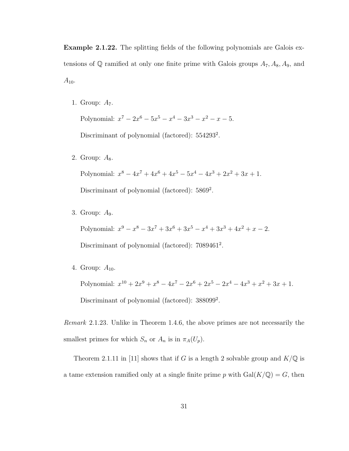Example 2.1.22. The splitting fields of the following polynomials are Galois extensions of  $\mathbb Q$  ramified at only one finite prime with Galois groups  $A_7, A_8, A_9$ , and  $A_{10}$ .

1. Group:  $A_7$ .

Polynomial:  $x^7 - 2x^6 - 5x^5 - x^4 - 3x^3 - x^2 - x - 5$ . Discriminant of polynomial (factored):  $554293^2$ .

2. Group:  $A_8$ .

Polynomial:  $x^8 - 4x^7 + 4x^6 + 4x^5 - 5x^4 - 4x^3 + 2x^2 + 3x + 1$ . Discriminant of polynomial (factored): 5869<sup>2</sup>.

3. Group: A9.

Polynomial:  $x^9 - x^8 - 3x^7 + 3x^6 + 3x^5 - x^4 + 3x^3 + 4x^2 + x - 2$ .

Discriminant of polynomial (factored): 7089461<sup>2</sup>.

4. Group:  $A_{10}$ .

Polynomial:  $x^{10} + 2x^9 + x^8 - 4x^7 - 2x^6 + 2x^5 - 2x^4 - 4x^3 + x^2 + 3x + 1$ . Discriminant of polynomial (factored): 388099<sup>2</sup>.

Remark 2.1.23. Unlike in Theorem 1.4.6, the above primes are not necessarily the smallest primes for which  $S_n$  or  $A_n$  is in  $\pi_A(U_p)$ .

Theorem 2.1.11 in [11] shows that if G is a length 2 solvable group and  $K/\mathbb{Q}$  is a tame extension ramified only at a single finite prime  $p$  with  $Gal(K/\mathbb{Q}) = G$ , then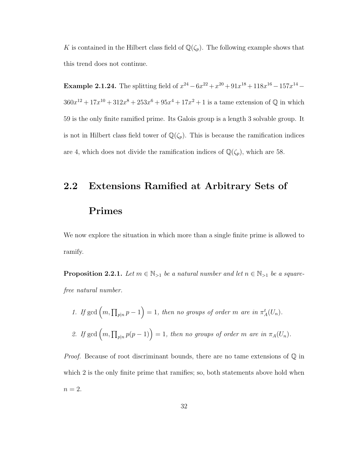K is contained in the Hilbert class field of  $\mathbb{Q}(\zeta_p)$ . The following example shows that this trend does not continue.

**Example 2.1.24.** The splitting field of  $x^{24} - 6x^{22} + x^{20} + 91x^{18} + 118x^{16} - 157x^{14} 360x^{12} + 17x^{10} + 312x^8 + 253x^6 + 95x^4 + 17x^2 + 1$  is a tame extension of Q in which 59 is the only finite ramified prime. Its Galois group is a length 3 solvable group. It is not in Hilbert class field tower of  $\mathbb{Q}(\zeta_p)$ . This is because the ramification indices are 4, which does not divide the ramification indices of  $\mathbb{Q}(\zeta_p)$ , which are 58.

### 2.2 Extensions Ramified at Arbitrary Sets of

#### Primes

We now explore the situation in which more than a single finite prime is allowed to ramify.

**Proposition 2.2.1.** Let  $m \in \mathbb{N}_{>1}$  be a natural number and let  $n \in \mathbb{N}_{>1}$  be a squarefree natural number.

1. If  $\gcd(m,\prod_{p|n}p-1)=1$ , then no groups of order m are in  $\pi_A^t(U_n)$ . 2. If gcd  $(m, \prod_{p|n} p(p-1)) = 1$ , then no groups of order m are in  $\pi_A(U_n)$ .

*Proof.* Because of root discriminant bounds, there are no tame extensions of  $\mathbb Q$  in which 2 is the only finite prime that ramifies; so, both statements above hold when  $n=2$ .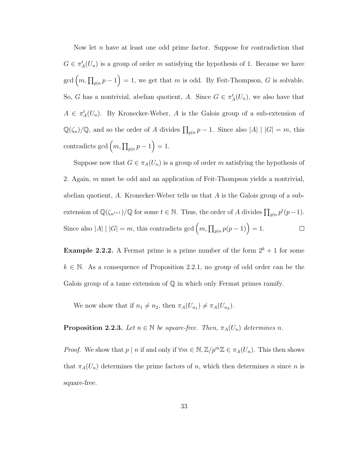Now let n have at least one odd prime factor. Suppose for contradiction that  $G \in \pi_A^t(U_n)$  is a group of order m satisfying the hypothesis of 1. Because we have  $\gcd(m,\prod_{p|n} p-1)=1$ , we get that m is odd. By Feit-Thompson, G is solvable. So, G has a nontrivial, abelian quotient, A. Since  $G \in \pi_A^t(U_n)$ , we also have that  $A \in \pi_A^t(U_n)$ . By Kronecker-Weber, A is the Galois group of a sub-extension of  $\mathbb{Q}(\zeta_n)/\mathbb{Q}$ , and so the order of A divides  $\prod_{p|n} p - 1$ . Since also  $|A| |G| = m$ , this contradicts gcd  $(m, \prod_{p|n} p - 1) = 1$ .

Suppose now that  $G \in \pi_A(U_n)$  is a group of order m satisfying the hypothesis of 2. Again,  $m$  must be odd and an application of Feit-Thompson yields a nontrivial, abelian quotient, A. Kronecker-Weber tells us that  $A$  is the Galois group of a subextension of  $\mathbb{Q}(\zeta_{n^{t+1}})/\mathbb{Q}$  for some  $t \in \mathbb{N}$ . Thus, the order of A divides  $\prod_{p|n} p^t(p-1)$ . Since also |A| |  $|G| = m$ , this contradicts gcd  $(m, \prod_{p|n} p(p-1)) = 1$ .  $\Box$ 

**Example 2.2.2.** A Fermat prime is a prime number of the form  $2^k + 1$  for some  $k \in \mathbb{N}$ . As a consequence of Proposition 2.2.1, no group of odd order can be the Galois group of a tame extension of Q in which only Fermat primes ramify.

We now show that if  $n_1 \neq n_2$ , then  $\pi_A(U_{n_1}) \neq \pi_A(U_{n_2})$ .

**Proposition 2.2.3.** Let  $n \in \mathbb{N}$  be square-free. Then,  $\pi_A(U_n)$  determines n.

*Proof.* We show that  $p | n$  if and only if  $\forall m \in \mathbb{N}, \mathbb{Z}/p^m \mathbb{Z} \in \pi_A(U_n)$ . This then shows that  $\pi_A(U_n)$  determines the prime factors of n, which then determines n since n is square-free.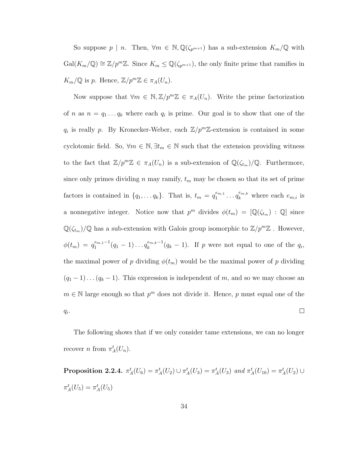So suppose  $p \mid n$ . Then,  $\forall m \in \mathbb{N}, \mathbb{Q}(\zeta_{p^{m+1}})$  has a sub-extension  $K_m/\mathbb{Q}$  with  $Gal(K_m/\mathbb{Q}) \cong \mathbb{Z}/p^m\mathbb{Z}$ . Since  $K_m \leq \mathbb{Q}(\zeta_{p^{m+1}})$ , the only finite prime that ramifies in  $K_m/\mathbb{Q}$  is p. Hence,  $\mathbb{Z}/p^m\mathbb{Z} \in \pi_A(U_n)$ .

Now suppose that  $\forall m \in \mathbb{N}, \mathbb{Z}/p^m \mathbb{Z} \in \pi_A(U_n)$ . Write the prime factorization of *n* as  $n = q_1 \ldots q_k$  where each  $q_i$  is prime. Our goal is to show that one of the  $q_i$  is really p. By Kronecker-Weber, each  $\mathbb{Z}/p^m\mathbb{Z}$ -extension is contained in some cyclotomic field. So,  $\forall m \in \mathbb{N}, \exists t_m \in \mathbb{N}$  such that the extension providing witness to the fact that  $\mathbb{Z}/p^m\mathbb{Z} \in \pi_A(U_n)$  is a sub-extension of  $\mathbb{Q}(\zeta_{t_m})/\mathbb{Q}$ . Furthermore, since only primes dividing n may ramify,  $t_m$  may be chosen so that its set of prime  $a_1^{e_{m,1}} \dots a_k^{e_{m,k}}$  where each  $e_{m,i}$  is factors is contained in  $\{q_1, \ldots q_k\}$ . That is,  $t_m = q_1^{e_{m,1}}$ a nonnegative integer. Notice now that  $p^m$  divides  $\phi(t_m) = [\mathbb{Q}(\zeta_{t_m}) : \mathbb{Q}]$  since  $\mathbb{Q}(\zeta_{t_m})/\mathbb{Q}$  has a sub-extension with Galois group isomorphic to  $\mathbb{Z}/p^m\mathbb{Z}$ . However,  $\phi(t_m) = q_1^{e_{m,1}-1}$  $a_1^{e_{m,1}-1}(q_1-1)\ldots a_k^{e_{m,k}-1}$  $\binom{e_{m,k}-1}{k}(q_k-1)$ . If p were not equal to one of the  $q_i$ , the maximal power of p dividing  $\phi(t_m)$  would be the maximal power of p dividing  $(q_1 - 1) \dots (q_k - 1)$ . This expression is independent of m, and so we may choose an  $m \in \mathbb{N}$  large enough so that  $p^m$  does not divide it. Hence, p must equal one of the  $q_i$ .  $\Box$ 

The following shows that if we only consider tame extensions, we can no longer recover *n* from  $\pi_A^t(U_n)$ .

**Proposition 2.2.4.**  $\pi_A^t(U_6) = \pi_A^t(U_2) \cup \pi_A^t(U_3) = \pi_A^t(U_3)$  and  $\pi_A^t(U_{10}) = \pi_A^t(U_2) \cup$  $\pi_A^t(U_5) = \pi_A^t(U_5)$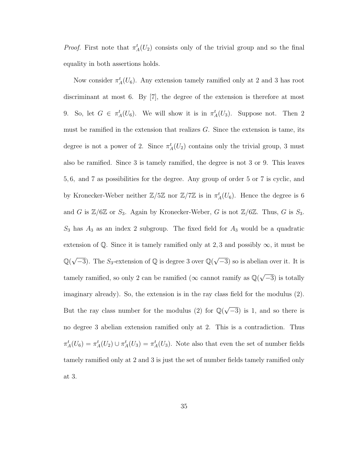*Proof.* First note that  $\pi_A^t(U_2)$  consists only of the trivial group and so the final equality in both assertions holds.

Now consider  $\pi_A^t(U_6)$ . Any extension tamely ramified only at 2 and 3 has root discriminant at most 6. By [7], the degree of the extension is therefore at most 9. So, let  $G \in \pi_A^t(U_6)$ . We will show it is in  $\pi_A^t(U_3)$ . Suppose not. Then 2 must be ramified in the extension that realizes G. Since the extension is tame, its degree is not a power of 2. Since  $\pi_A^t(U_2)$  contains only the trivial group, 3 must also be ramified. Since 3 is tamely ramified, the degree is not 3 or 9. This leaves 5, 6, and 7 as possibilities for the degree. Any group of order 5 or 7 is cyclic, and by Kronecker-Weber neither  $\mathbb{Z}/5\mathbb{Z}$  nor  $\mathbb{Z}/7\mathbb{Z}$  is in  $\pi_A^t(U_6)$ . Hence the degree is 6 and G is  $\mathbb{Z}/6\mathbb{Z}$  or  $S_3$ . Again by Kronecker-Weber, G is not  $\mathbb{Z}/6\mathbb{Z}$ . Thus, G is  $S_3$ .  $S_3$  has  $A_3$  as an index 2 subgroup. The fixed field for  $A_3$  would be a quadratic extension of Q. Since it is tamely ramified only at 2,3 and possibly  $\infty$ , it must be  $\mathbb{Q}(\sqrt{-3})$ . The  $S_3$ -extension of  $\mathbb Q$  is degree 3 over  $\mathbb{Q}(\sqrt{-3})$  $\overline{-3}$ ) so is abelian over it. It is tamely ramified, so only 2 can be ramified ( $\infty$  cannot ramify as  $\mathbb{Q}(\sqrt{\mathbb{Z}})$  $\overline{-3}$ ) is totally imaginary already). So, the extension is in the ray class field for the modulus (2). But the ray class number for the modulus (2) for  $\mathbb{Q}(\sqrt{2})$  $\overline{-3}$ ) is 1, and so there is no degree 3 abelian extension ramified only at 2. This is a contradiction. Thus  $\pi_A^t(U_6) = \pi_A^t(U_2) \cup \pi_A^t(U_3) = \pi_A^t(U_3)$ . Note also that even the set of number fields tamely ramified only at 2 and 3 is just the set of number fields tamely ramified only at 3.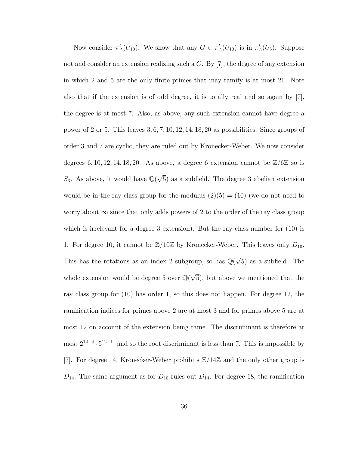Now consider  $\pi_A^t(U_{10})$ . We show that any  $G \in \pi_A^t(U_{10})$  is in  $\pi_A^t(U_5)$ . Suppose not and consider an extension realizing such a G. By [7], the degree of any extension in which 2 and 5 are the only finite primes that may ramify is at most 21. Note also that if the extension is of odd degree, it is totally real and so again by [7], the degree is at most 7. Also, as above, any such extension cannot have degree a power of 2 or 5. This leaves 3, 6, 7, 10, 12, 14, 18, 20 as possibilities. Since groups of order 3 and 7 are cyclic, they are ruled out by Kronecker-Weber. We now consider degrees 6, 10, 12, 14, 18, 20. As above, a degree 6 extension cannot be  $\mathbb{Z}/6\mathbb{Z}$  so is S<sub>3</sub>. As above, it would have  $\mathbb{Q}(\sqrt{2})$ 5) as a subfield. The degree 3 abelian extension would be in the ray class group for the modulus  $(2)(5) = (10)$  (we do not need to worry about  $\infty$  since that only adds powers of 2 to the order of the ray class group which is irrelevant for a degree 3 extension). But the ray class number for  $(10)$  is 1. For degree 10, it cannot be  $\mathbb{Z}/10\mathbb{Z}$  by Kronecker-Weber. This leaves only  $D_{10}$ . This has the rotations as an index 2 subgroup, so has  $\mathbb{Q}(\sqrt{\mathbb{Z}})$ 5) as a subfield. The whole extension would be degree 5 over  $\mathbb{Q}(\sqrt{2})$ 5), but above we mentioned that the ray class group for (10) has order 1, so this does not happen. For degree 12, the ramification indices for primes above 2 are at most 3 and for primes above 5 are at most 12 on account of the extension being tame. The discriminant is therefore at most  $2^{12-4} \cdot 5^{12-1}$ , and so the root discriminant is less than 7. This is impossible by [7]. For degree 14, Kronecker-Weber prohibits Z/14Z and the only other group is  $D_{14}$ . The same argument as for  $D_{10}$  rules out  $D_{14}$ . For degree 18, the ramification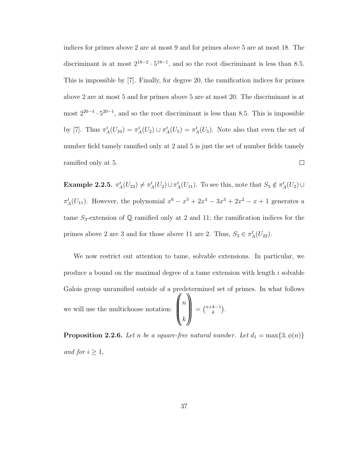indices for primes above 2 are at most 9 and for primes above 5 are at most 18. The discriminant is at most  $2^{18-2} \cdot 5^{18-1}$ , and so the root discriminant is less than 8.5. This is impossible by [7]. Finally, for degree 20, the ramification indices for primes above 2 are at most 5 and for primes above 5 are at most 20. The discriminant is at most  $2^{20-4} \cdot 5^{20-1}$ , and so the root discriminant is less than 8.5. This is impossible by [7]. Thus  $\pi_A^t(U_{10}) = \pi_A^t(U_2) \cup \pi_A^t(U_5) = \pi_A^t(U_5)$ . Note also that even the set of number field tamely ramified only at 2 and 5 is just the set of number fields tamely ramified only at 5.  $\Box$ 

Example 2.2.5.  $\pi_A^t(U_{22}) \neq \pi_A^t(U_2) \cup \pi_A^t(U_{11})$ . To see this, note that  $S_3 \notin \pi_A^t(U_2) \cup$  $\pi_A^t(U_{11})$ . However, the polynomial  $x^6 - x^5 + 2x^4 - 3x^3 + 2x^2 - x + 1$  generates a tame  $S_3$ -extension of  $\mathbb Q$  ramified only at 2 and 11; the ramification indices for the primes above 2 are 3 and for those above 11 are 2. Thus,  $S_3 \in \pi_A^t(U_{22})$ .

We now restrict out attention to tame, solvable extensions. In particular, we produce a bound on the maximal degree of a tame extension with length i solvable Galois group unramified outside of a predetermined set of primes. In what follows we will use the multichoose notation:  $\mathscr N$  $\parallel$  $\overline{n}$ k ₩  $\Bigg| = \Big(\begin{matrix} n+k-1 \\ k \end{matrix}$  $_{k}^{k-1}$ ).

**Proposition 2.2.6.** Let n be a square-free natural number. Let  $d_1 = \max\{3, \phi(n)\}$ and for  $i \geq 1$ ,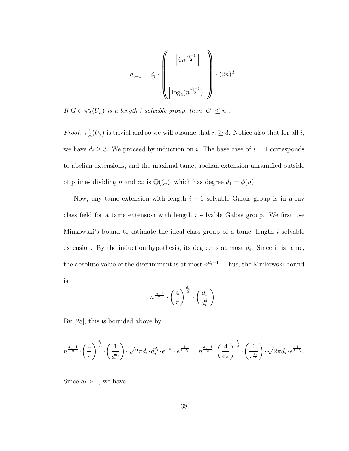$$
d_{i+1} = d_i \cdot \left( \begin{bmatrix} \left\lceil \frac{6n^{\frac{d_i-1}{2}}}{2} \right\rceil \\ & \\ \left\lceil \frac{1}{\log_2(n^{\frac{d_i-1}{2}})} \right\rceil \end{bmatrix} \right) \cdot (2n)^{d_i}.
$$

If  $G \in \pi_A^t(U_n)$  is a length i solvable group, then  $|G| \leq n_i$ .

*Proof.*  $\pi_A^t(U_2)$  is trivial and so we will assume that  $n \geq 3$ . Notice also that for all *i*, we have  $d_i \geq 3$ . We proceed by induction on i. The base case of  $i = 1$  corresponds to abelian extensions, and the maximal tame, abelian extension unramified outside of primes dividing n and  $\infty$  is  $\mathbb{Q}(\zeta_n)$ , which has degree  $d_1 = \phi(n)$ .

Now, any tame extension with length  $i + 1$  solvable Galois group is in a ray class field for a tame extension with length  $i$  solvable Galois group. We first use Minkowski's bound to estimate the ideal class group of a tame, length i solvable extension. By the induction hypothesis, its degree is at most  $d_i$ . Since it is tame, the absolute value of the discriminant is at most  $n^{d_i-1}$ . Thus, the Minkowski bound is

$$
n^{\frac{d_i-1}{2}} \cdot \left(\frac{4}{\pi}\right)^{\frac{d_i}{2}} \cdot \left(\frac{d_i!}{d_i^{d_i}}\right).
$$

By [28], this is bounded above by

$$
n^{\frac{d_i-1}{2}} \cdot \left(\frac{4}{\pi}\right)^{\frac{d_i}{2}} \cdot \left(\frac{1}{d_i^{d_i}}\right) \cdot \sqrt{2\pi d_i} \cdot d_i^{d_i} \cdot e^{-d_i} \cdot e^{\frac{1}{12d_i}} = n^{\frac{d_i-1}{2}} \cdot \left(\frac{4}{e\pi}\right)^{\frac{d_i}{2}} \cdot \left(\frac{1}{e^{\frac{d_i}{2}}}\right) \cdot \sqrt{2\pi d_i} \cdot e^{\frac{1}{12d_i}}.
$$

Since  $d_i > 1$ , we have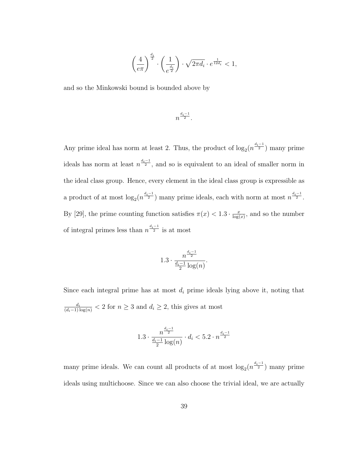$$
\left(\frac{4}{e\pi}\right)^{\frac{d_i}{2}}\cdot\left(\frac{1}{e^{\frac{d_i}{2}}}\right)\cdot\sqrt{2\pi d_i}\cdot e^{\frac{1}{12d_i}}<1,
$$

and so the Minkowski bound is bounded above by

$$
n^{\frac{d_i-1}{2}}.
$$

Any prime ideal has norm at least 2. Thus, the product of  $\log_2(n^{\frac{d_i-1}{2}})$  many prime ideals has norm at least  $n^{\frac{d_i-1}{2}}$ , and so is equivalent to an ideal of smaller norm in the ideal class group. Hence, every element in the ideal class group is expressible as a product of at most  $\log_2(n^{\frac{d_i-1}{2}})$  many prime ideals, each with norm at most  $n^{\frac{d_i-1}{2}}$ . By [29], the prime counting function satisfies  $\pi(x) < 1.3 \cdot \frac{x}{\log x}$  $\frac{x}{\log(x)}$ , and so the number of integral primes less than  $n^{\frac{d_i-1}{2}}$  is at most

$$
1.3 \cdot \frac{n^{\frac{d_i-1}{2}}}{\frac{d_i-1}{2} \log(n)}.
$$

Since each integral prime has at most  $d_i$  prime ideals lying above it, noting that  $\frac{d_i}{(d_i-1)\log(n)} < 2$  for  $n \geq 3$  and  $d_i \geq 2$ , this gives at most

$$
1.3 \cdot \frac{n^{\frac{d_i-1}{2}}}{\frac{d_i-1}{2} \log(n)} \cdot d_i < 5.2 \cdot n^{\frac{d_i-1}{2}}
$$

many prime ideals. We can count all products of at most  $\log_2(n^{\frac{d_i-1}{2}})$  many prime ideals using multichoose. Since we can also choose the trivial ideal, we are actually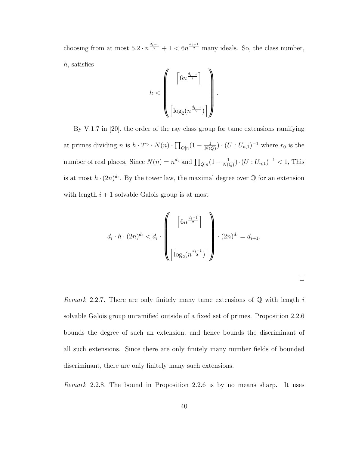choosing from at most  $5.2 \cdot n^{\frac{d_i-1}{2}} + 1 < 6n^{\frac{d_i-1}{2}}$  many ideals. So, the class number, h, satisfies

$$
h < \left(\begin{matrix} \left\lceil 6n^{\frac{d_i-1}{2}}\right\rceil \\ \\ \left\lceil \log_2(n^{\frac{d_i-1}{2}})\right\rceil \end{matrix}\right)
$$

.

By V.1.7 in [20], the order of the ray class group for tame extensions ramifying at primes dividing *n* is  $h \cdot 2^{r_0} \cdot N(n) \cdot \prod_{Q|n} (1 - \frac{1}{N(n)})$  $\frac{1}{N(Q)}$ ) ·  $(U:U_{n,1})^{-1}$  where  $r_0$  is the number of real places. Since  $N(n) = n^{d_i}$  and  $\prod_{Q|n} (1 - \frac{1}{N(n)})$  $\frac{1}{N(Q)}) \cdot (U : U_{n,1})^{-1} < 1$ , This is at most  $h \cdot (2n)^{d_i}$ . By the tower law, the maximal degree over Q for an extension with length  $i + 1$  solvable Galois group is at most

$$
d_i \cdot h \cdot (2n)^{d_i} < d_i \cdot \left( \left( \begin{array}{c} \left\lceil 6n^{\frac{d_i-1}{2}} \right\rceil \\ & \\ \left\lceil \log_2(n^{\frac{d_i-1}{2}}) \right\rceil \end{array} \right) \right) \cdot (2n)^{d_i} = d_{i+1}.
$$

*Remark* 2.2.7. There are only finitely many tame extensions of  $\mathbb{Q}$  with length i solvable Galois group unramified outside of a fixed set of primes. Proposition 2.2.6 bounds the degree of such an extension, and hence bounds the discriminant of all such extensions. Since there are only finitely many number fields of bounded discriminant, there are only finitely many such extensions.

Remark 2.2.8. The bound in Proposition 2.2.6 is by no means sharp. It uses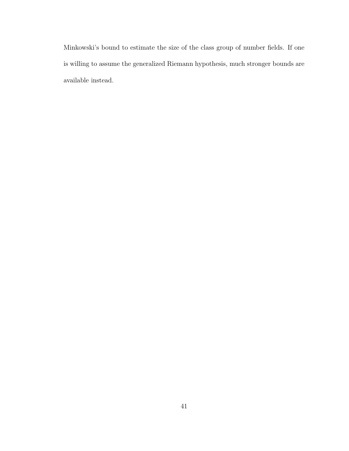Minkowski's bound to estimate the size of the class group of number fields. If one is willing to assume the generalized Riemann hypothesis, much stronger bounds are available instead.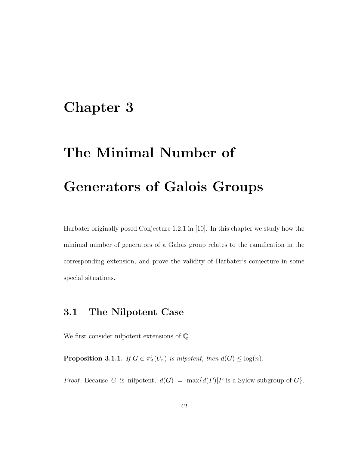## Chapter 3

# The Minimal Number of Generators of Galois Groups

Harbater originally posed Conjecture 1.2.1 in [10]. In this chapter we study how the minimal number of generators of a Galois group relates to the ramification in the corresponding extension, and prove the validity of Harbater's conjecture in some special situations.

#### 3.1 The Nilpotent Case

We first consider nilpotent extensions of Q.

**Proposition 3.1.1.** If  $G \in \pi_A^t(U_n)$  is nilpotent, then  $d(G) \leq \log(n)$ .

*Proof.* Because G is nilpotent,  $d(G) = \max\{d(P)|P \text{ is a Sylow subgroup of } G\}.$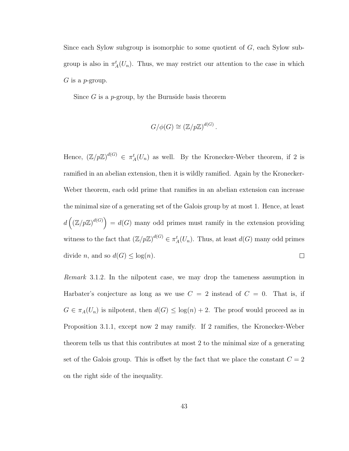Since each Sylow subgroup is isomorphic to some quotient of  $G$ , each Sylow subgroup is also in  $\pi_A^t(U_n)$ . Thus, we may restrict our attention to the case in which  $G$  is a *p*-group.

Since  $G$  is a p-group, by the Burnside basis theorem

$$
G/\phi(G) \cong \left(\mathbb{Z}/p\mathbb{Z}\right)^{d(G)}.
$$

Hence,  $(\mathbb{Z}/p\mathbb{Z})^{d(G)} \in \pi_A^t(U_n)$  as well. By the Kronecker-Weber theorem, if 2 is ramified in an abelian extension, then it is wildly ramified. Again by the Kronecker-Weber theorem, each odd prime that ramifies in an abelian extension can increase the minimal size of a generating set of the Galois group by at most 1. Hence, at least  $d\left(\left(\mathbb{Z}/p\mathbb{Z}\right)^{d(G)}\right) = d(G)$  many odd primes must ramify in the extension providing witness to the fact that  $(\mathbb{Z}/p\mathbb{Z})^{d(G)} \in \pi_A^t(U_n)$ . Thus, at least  $d(G)$  many odd primes divide *n*, and so  $d(G) \leq \log(n)$ .  $\Box$ 

Remark 3.1.2. In the nilpotent case, we may drop the tameness assumption in Harbater's conjecture as long as we use  $C = 2$  instead of  $C = 0$ . That is, if  $G \in \pi_A(U_n)$  is nilpotent, then  $d(G) \leq \log(n) + 2$ . The proof would proceed as in Proposition 3.1.1, except now 2 may ramify. If 2 ramifies, the Kronecker-Weber theorem tells us that this contributes at most 2 to the minimal size of a generating set of the Galois group. This is offset by the fact that we place the constant  $C = 2$ on the right side of the inequality.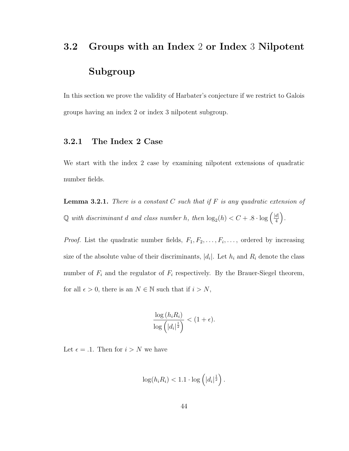## 3.2 Groups with an Index 2 or Index 3 Nilpotent Subgroup

In this section we prove the validity of Harbater's conjecture if we restrict to Galois groups having an index 2 or index 3 nilpotent subgroup.

#### 3.2.1 The Index 2 Case

We start with the index 2 case by examining nilpotent extensions of quadratic number fields.

**Lemma 3.2.1.** There is a constant C such that if F is any quadratic extension of  $\mathbb Q$  with discriminant d and class number h, then  $\log_2(h) < C + .8 \cdot \log \left( \frac{|d|}{4} \right)$  $\frac{d|}{4}$ .

*Proof.* List the quadratic number fields,  $F_1, F_2, \ldots, F_i, \ldots$ , ordered by increasing size of the absolute value of their discriminants,  $|d_i|$ . Let  $h_i$  and  $R_i$  denote the class number of  $F_i$  and the regulator of  $F_i$  respectively. By the Brauer-Siegel theorem, for all  $\epsilon > 0$ , there is an  $N \in \mathbb{N}$  such that if  $i > N$ ,

$$
\frac{\log\left(h_i R_i\right)}{\log\left(\left|d_i\right|^{\frac{1}{2}}\right)} < (1+\epsilon).
$$

Let  $\epsilon = .1$ . Then for  $i > N$  we have

$$
\log(h_i R_i) < 1.1 \cdot \log\left(|d_i|^{\frac{1}{2}}\right).
$$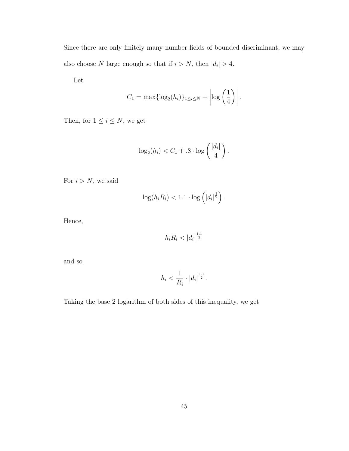Since there are only finitely many number fields of bounded discriminant, we may also choose N large enough so that if  $i > N$ , then  $|d_i| > 4$ .

Let

$$
C_1 = \max\{\log_2(h_i)\}_{1 \leq i \leq N} + \left|\log\left(\frac{1}{4}\right)\right|.
$$

Then, for  $1\leq i\leq N,$  we get

$$
\log_2(h_i) < C_1 + .8 \cdot \log\left(\frac{|d_i|}{4}\right).
$$

For  $i > N$ , we said

$$
\log(h_i R_i) < 1.1 \cdot \log\left(|d_i|^{\frac{1}{2}}\right).
$$

Hence,

$$
h_i R_i < |d_i|^{\frac{1.1}{2}}
$$

and so

$$
h_i < \frac{1}{R_i} \cdot |d_i|^{\frac{1.1}{2}}.
$$

Taking the base 2 logarithm of both sides of this inequality, we get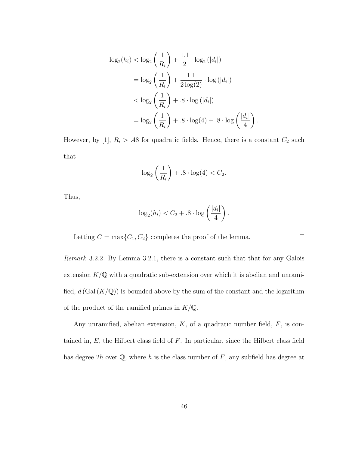$$
\log_2(h_i) < \log_2\left(\frac{1}{R_i}\right) + \frac{1 \cdot 1}{2} \cdot \log_2(|d_i|)
$$
\n
$$
= \log_2\left(\frac{1}{R_i}\right) + \frac{1 \cdot 1}{2 \log(2)} \cdot \log(|d_i|)
$$
\n
$$
< \log_2\left(\frac{1}{R_i}\right) + .8 \cdot \log(|d_i|)
$$
\n
$$
= \log_2\left(\frac{1}{R_i}\right) + .8 \cdot \log(4) + .8 \cdot \log\left(\frac{|d_i|}{4}\right)
$$

However, by [1],  $R_i > .48$  for quadratic fields. Hence, there is a constant  $C_2$  such that

.

 $\Box$ 

$$
\log_2\left(\frac{1}{R_i}\right) + .8 \cdot \log(4) < C_2.
$$

Thus,

$$
\log_2(h_i) < C_2 + .8 \cdot \log\left(\frac{|d_i|}{4}\right).
$$

Letting  $C = \max\{C_1, C_2\}$  completes the proof of the lemma.

Remark 3.2.2. By Lemma 3.2.1, there is a constant such that that for any Galois extension  $K/\mathbb{Q}$  with a quadratic sub-extension over which it is abelian and unramified,  $d(Gal(K/\mathbb{Q}))$  is bounded above by the sum of the constant and the logarithm of the product of the ramified primes in  $K/\mathbb{Q}$ .

Any unramified, abelian extension,  $K$ , of a quadratic number field,  $F$ , is contained in,  $E$ , the Hilbert class field of  $F$ . In particular, since the Hilbert class field has degree  $2h$  over  $\mathbb{Q}$ , where h is the class number of F, any subfield has degree at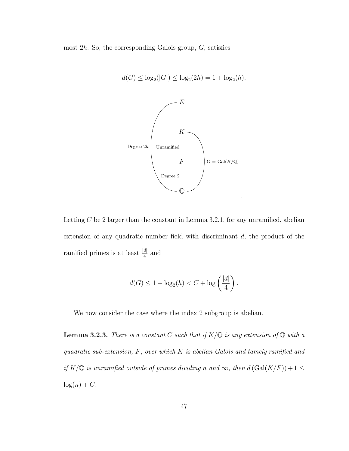most  $2h$ . So, the corresponding Galois group,  $G$ , satisfies



$$
d(G) \le \log_2(|G|) \le \log_2(2h) = 1 + \log_2(h).
$$

Letting  $C$  be 2 larger than the constant in Lemma 3.2.1, for any unramified, abelian extension of any quadratic number field with discriminant d, the product of the ramified primes is at least  $\frac{|d|}{4}$  and

$$
d(G) \le 1 + \log_2(h) < C + \log\left(\frac{|d|}{4}\right).
$$

We now consider the case where the index 2 subgroup is abelian.

**Lemma 3.2.3.** There is a constant C such that if  $K/\mathbb{Q}$  is any extension of  $\mathbb{Q}$  with a quadratic sub-extension, F, over which K is abelian Galois and tamely ramified and if  $K/\mathbb{Q}$  is unramified outside of primes dividing n and  $\infty$ , then  $d(Gal(K/F)) + 1 \leq$  $log(n) + C.$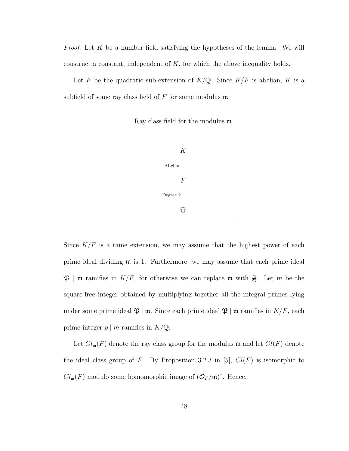*Proof.* Let  $K$  be a number field satisfying the hypotheses of the lemma. We will construct a constant, independent of  $K$ , for which the above inequality holds.

Let F be the quadratic sub-extension of  $K/\mathbb{Q}$ . Since  $K/F$  is abelian, K is a subfield of some ray class field of  $F$  for some modulus  $m$ .



.

Since  $K/F$  is a tame extension, we may assume that the highest power of each prime ideal dividing m is 1. Furthermore, we may assume that each prime ideal  $\mathfrak{P}$  | m ramifies in  $K/F$ , for otherwise we can replace m with  $\frac{m}{\mathfrak{P}}$ . Let m be the square-free integer obtained by multiplying together all the integral primes lying under some prime ideal  $\mathfrak{P} \mid \mathfrak{m}$ . Since each prime ideal  $\mathfrak{P} \mid \mathfrak{m}$  ramifies in  $K/F$ , each prime integer  $p \mid m$  ramifies in  $K/\mathbb{Q}$ .

Let  $Cl_{\mathfrak{m}}(F)$  denote the ray class group for the modulus  $\mathfrak{m}$  and let  $Cl(F)$  denote the ideal class group of F. By Proposition 3.2.3 in [5],  $Cl(F)$  is isomorphic to  $Cl_{\mathfrak{m}}(F)$  modulo some homomorphic image of  $(\mathcal{O}_F/\mathfrak{m})^*$ . Hence,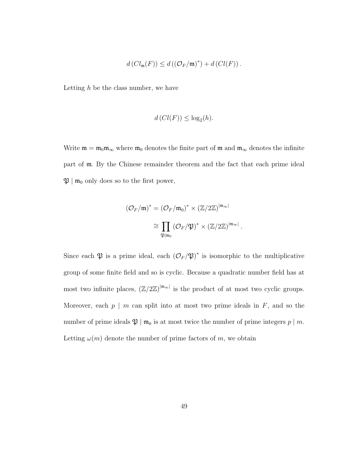$$
d\left(Cl_{\mathfrak{m}}(F)\right)\leq d\left(\left(\mathcal{O}_F/\mathfrak{m}\right)^*\right)+d\left(Cl(F)\right).
$$

Letting  $h$  be the class number, we have

$$
d\left( Cl(F)\right) \leq \log_2(h).
$$

Write  $\mathfrak{m} = \mathfrak{m}_0 \mathfrak{m}_{\infty}$  where  $\mathfrak{m}_0$  denotes the finite part of  $\mathfrak{m}$  and  $\mathfrak{m}_{\infty}$  denotes the infinite part of m. By the Chinese remainder theorem and the fact that each prime ideal  $\mathfrak{P} \mid \mathfrak{m}_0$  only does so to the first power,

$$
(\mathcal{O}_F/\mathfrak{m})^* = (\mathcal{O}_F/\mathfrak{m}_0)^* \times (\mathbb{Z}/2\mathbb{Z})^{|\mathfrak{m}_{\infty}|}
$$
  

$$
\cong \prod_{\mathfrak{P}|\mathfrak{m}_0} (\mathcal{O}_F/\mathfrak{P})^* \times (\mathbb{Z}/2\mathbb{Z})^{|\mathfrak{m}_{\infty}|}.
$$

Since each  $\mathfrak P$  is a prime ideal, each  $(\mathcal{O}_F/\mathfrak P)^*$  is isomorphic to the multiplicative group of some finite field and so is cyclic. Because a quadratic number field has at most two infinite places,  $(\mathbb{Z}/2\mathbb{Z})^{|m_{\infty}|}$  is the product of at most two cyclic groups. Moreover, each  $p \mid m$  can split into at most two prime ideals in  $F$ , and so the number of prime ideals  $\mathfrak{P} \mid \mathfrak{m}_0$  is at most twice the number of prime integers  $p \mid m$ . Letting  $\omega(m)$  denote the number of prime factors of m, we obtain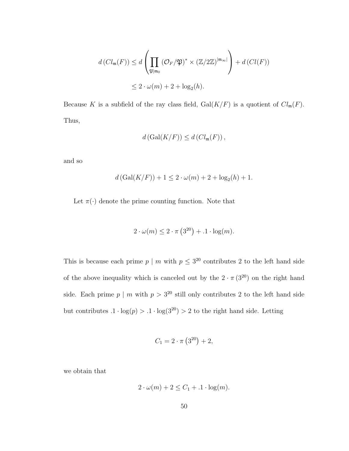$$
d\left(Cl_{\mathfrak{m}}(F)\right) \leq d\left(\prod_{\mathfrak{P}|\mathfrak{m}_{0}}\left(\mathcal{O}_{F}/\mathfrak{P}\right)^{*} \times \left(\mathbb{Z}/2\mathbb{Z}\right)^{|\mathfrak{m}_{\infty}|}\right) + d\left(Cl(F)\right)
$$
  

$$
\leq 2 \cdot \omega(m) + 2 + \log_{2}(h).
$$

Because K is a subfield of the ray class field,  $Gal(K/F)$  is a quotient of  $Cl_m(F)$ . Thus,

$$
d\left(\mathrm{Gal}(K/F)\right) \leq d\left(\mathrm{Cl}_{\mathfrak{m}}(F)\right),
$$

and so

$$
d(Gal(K/F)) + 1 \le 2 \cdot \omega(m) + 2 + \log_2(h) + 1.
$$

Let  $\pi(\cdot)$  denote the prime counting function. Note that

$$
2 \cdot \omega(m) \le 2 \cdot \pi \left(3^{20}\right) + 0.1 \cdot \log(m).
$$

This is because each prime  $p \mid m$  with  $p \leq 3^{20}$  contributes 2 to the left hand side of the above inequality which is canceled out by the  $2 \cdot \pi (3^{20})$  on the right hand side. Each prime  $p \mid m$  with  $p > 3^{20}$  still only contributes 2 to the left hand side but contributes  $.1\cdot\log(p)>.1\cdot\log(3^{20})>2$  to the right hand side. Letting

$$
C_1 = 2 \cdot \pi \left(3^{20}\right) + 2,
$$

we obtain that

$$
2 \cdot \omega(m) + 2 \le C_1 + 1 \cdot \log(m).
$$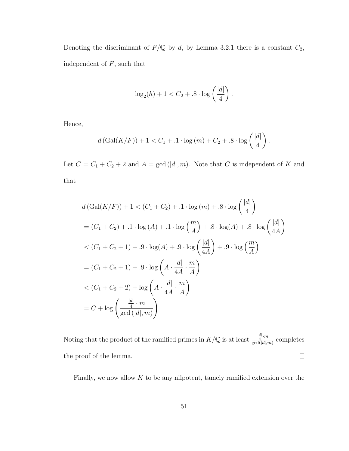Denoting the discriminant of  $F/\mathbb{Q}$  by d, by Lemma 3.2.1 there is a constant  $C_2$ , independent of  ${\cal F},$  such that

$$
\log_2(h) + 1 < C_2 + .8 \cdot \log\left(\frac{|d|}{4}\right)
$$

.

Hence,

$$
d(Gal(K/F)) + 1 < C_1 + .1 \cdot log(m) + C_2 + .8 \cdot log(\frac{|d|}{4}).
$$

Let  $C = C_1 + C_2 + 2$  and  $A = \gcd(|d|, m)$ . Note that C is independent of K and that

$$
d (\text{Gal}(K/F)) + 1 < (C_1 + C_2) + .1 \cdot \log(m) + .8 \cdot \log\left(\frac{|d|}{4}\right)
$$
\n
$$
= (C_1 + C_2) + .1 \cdot \log(A) + .1 \cdot \log\left(\frac{m}{A}\right) + .8 \cdot \log(A) + .8 \cdot \log\left(\frac{|d|}{4A}\right)
$$
\n
$$
< (C_1 + C_2 + 1) + .9 \cdot \log(A) + .9 \cdot \log\left(\frac{|d|}{4A}\right) + .9 \cdot \log\left(\frac{m}{A}\right)
$$
\n
$$
= (C_1 + C_2 + 1) + .9 \cdot \log\left(A \cdot \frac{|d|}{4A} \cdot \frac{m}{A}\right)
$$
\n
$$
< (C_1 + C_2 + 2) + \log\left(A \cdot \frac{|d|}{4A} \cdot \frac{m}{A}\right)
$$
\n
$$
= C + \log\left(\frac{\frac{|d|}{4} \cdot m}{\gcd\left(|d|, m\right)}\right).
$$

Noting that the product of the ramified primes in  $K/\mathbb{Q}$  is at least  $\frac{\frac{d}{4}}{ad(d|x)}$  $\frac{1}{\gcd(|d|,m)}$  completes the proof of the lemma.  $\Box$ 

Finally, we now allow  $K$  to be any nilpotent, tamely ramified extension over the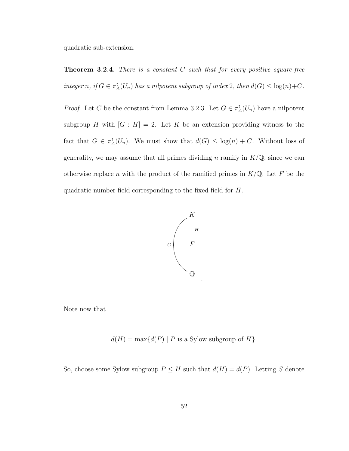quadratic sub-extension.

**Theorem 3.2.4.** There is a constant C such that for every positive square-free integer n, if  $G \in \pi_A^t(U_n)$  has a nilpotent subgroup of index 2, then  $d(G) \leq \log(n) + C$ .

*Proof.* Let C be the constant from Lemma 3.2.3. Let  $G \in \pi_A^t(U_n)$  have a nilpotent subgroup H with  $[G : H] = 2$ . Let K be an extension providing witness to the fact that  $G \in \pi_A^t(U_n)$ . We must show that  $d(G) \leq \log(n) + C$ . Without loss of generality, we may assume that all primes dividing n ramify in  $K/\mathbb{Q}$ , since we can otherwise replace n with the product of the ramified primes in  $K/\mathbb{Q}$ . Let F be the quadratic number field corresponding to the fixed field for H.



.

Note now that

 $d(H) = \max\{d(P) | P$  is a Sylow subgroup of  $H\}$ .

So, choose some Sylow subgroup  $P \leq H$  such that  $d(H) = d(P)$ . Letting S denote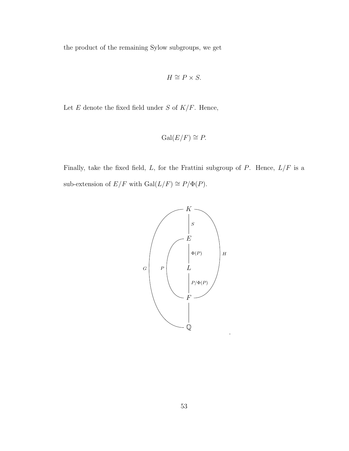the product of the remaining Sylow subgroups, we get

$$
H \cong P \times S.
$$

Let  $E$  denote the fixed field under  $S$  of  $K/F$ . Hence,

$$
\operatorname{Gal}(E/F) \cong P.
$$

Finally, take the fixed field,  $L$ , for the Frattini subgroup of  $P$ . Hence,  $L/F$  is a sub-extension of  $E/F$  with  $Gal(L/F) \cong P/\Phi(P)$ .

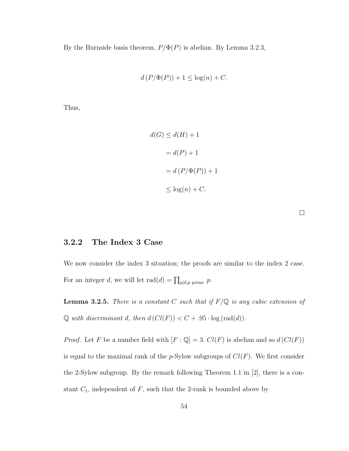By the Burnside basis theorem,  $P/\Phi(P)$  is abelian. By Lemma 3.2.3,

$$
d(P/\Phi(P)) + 1 \le \log(n) + C.
$$

Thus,

$$
d(G) \le d(H) + 1
$$

$$
= d(P) + 1
$$

$$
= d(P/\Phi(P)) + 1
$$

$$
\le \log(n) + C.
$$

#### 3.2.2 The Index 3 Case

We now consider the index 3 situation; the proofs are similar to the index 2 case. For an integer d, we will let  $\text{rad}(d) = \prod_{p \mid d, p \text{ prime}} p$ .

**Lemma 3.2.5.** There is a constant C such that if  $F/Q$  is any cubic extension of  $\mathbb Q$  with discriminant d, then  $d\left(Cl(F)\right) < C + .95 \cdot \log\left(\text{rad}(d)\right)$ .

*Proof.* Let F be a number field with  $[F: \mathbb{Q}] = 3$ .  $Cl(F)$  is abelian and so  $d(Cl(F))$ is equal to the maximal rank of the  $p$ -Sylow subgroups of  $Cl(F)$ . We first consider the 2-Sylow subgroup. By the remark following Theorem 1.1 in [2], there is a constant  $C_1$ , independent of  $F$ , such that the 2-rank is bounded above by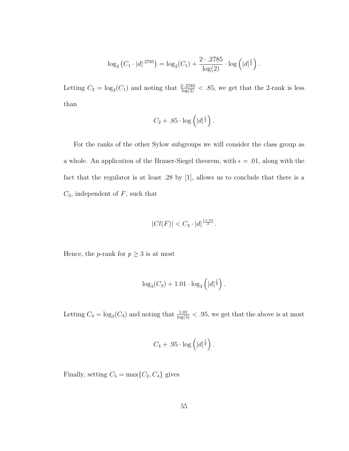$$
\log_2 (C_1 \cdot |d|^{.2785}) = \log_2(C_1) + \frac{2 \cdot .2785}{\log(2)} \cdot \log (|d|^{\frac{1}{2}}).
$$

Letting  $C_2 = \log_2(C_1)$  and noting that  $\frac{2.2785}{\log(2)} < .85$ , we get that the 2-rank is less than

$$
C_2 + .85 \cdot \log\left(|d|^{\frac{1}{2}}\right).
$$

For the ranks of the other Sylow subgroups we will consider the class group as a whole. An application of the Brauer-Siegel theorem, with  $\epsilon = .01$ , along with the fact that the regulator is at least .28 by [1], allows us to conclude that there is a  $C_3$ , independent of  $F$ , such that

$$
|Cl(F)| < C_3 \cdot |d|^{\frac{1+.01}{2}}.
$$

Hence, the  $p\text{-rank}$  for  $p\geq 3$  is at most

$$
\log_3(C_3) + 1.01 \cdot \log_3(|d|^{\frac{1}{2}}).
$$

Letting  $C_4 = \log_3(C_3)$  and noting that  $\frac{1.01}{\log(3)} < .95$ , we get that the above is at most

$$
C_4 + .95 \cdot \log\left(|d|^{\frac{1}{2}}\right).
$$

Finally, setting  $C_5 = \max\{C_2, C_4\}$  gives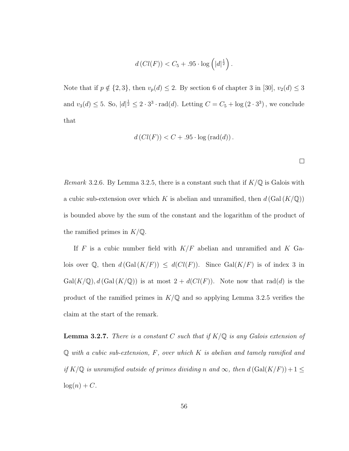$$
d\left(Cl(F)\right) < C_5 + .95 \cdot \log\left(|d|^{\frac{1}{2}}\right).
$$

Note that if  $p \notin \{2, 3\}$ , then  $v_p(d) \leq 2$ . By section 6 of chapter 3 in [30],  $v_2(d) \leq 3$ and  $v_3(d) \leq 5$ . So,  $|d|^{\frac{1}{2}} \leq 2 \cdot 3^3 \cdot \text{rad}(d)$ . Letting  $C = C_5 + \log(2 \cdot 3^3)$ , we conclude that

$$
d\left(Cl(F)\right) < C + .95 \cdot \log\left(\text{rad}(d)\right).
$$

 $\Box$ 

Remark 3.2.6. By Lemma 3.2.5, there is a constant such that if  $K/\mathbb{Q}$  is Galois with a cubic sub-extension over which K is abelian and unramified, then  $d(Gal(K/\mathbb{Q}))$ is bounded above by the sum of the constant and the logarithm of the product of the ramified primes in  $K/\mathbb{Q}$ .

If F is a cubic number field with  $K/F$  abelian and unramified and K Galois over Q, then  $d(Gal(K/F)) \leq d(Cl(F))$ . Since  $Gal(K/F)$  is of index 3 in  $Gal(K/\mathbb{Q}), d(Gal(K/\mathbb{Q}))$  is at most  $2 + d(Cl(F))$ . Note now that rad(d) is the product of the ramified primes in  $K/\mathbb{Q}$  and so applying Lemma 3.2.5 verifies the claim at the start of the remark.

**Lemma 3.2.7.** There is a constant C such that if  $K/\mathbb{Q}$  is any Galois extension of  $\mathbb Q$  with a cubic sub-extension, F, over which K is abelian and tamely ramified and if  $K/\mathbb{Q}$  is unramified outside of primes dividing n and  $\infty$ , then  $d(Gal(K/F)) + 1 \leq$  $log(n) + C.$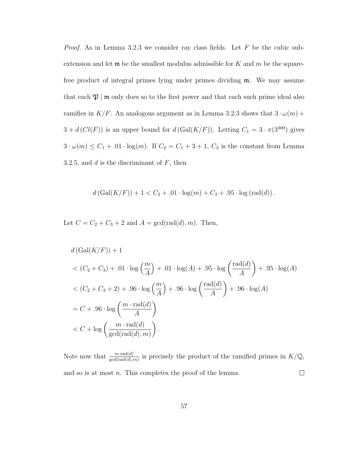*Proof.* As in Lemma 3.2.3 we consider ray class fields. Let  $F$  be the cubic subextension and let  $\mathfrak m$  be the smallest modulus admissible for K and m be the squarefree product of integral primes lying under primes dividing m. We may assume that each  $\mathfrak{P}$  | m only does so to the first power and that each such prime ideal also ramifies in  $K/F$ . An analogous argument as in Lemma 3.2.3 shows that  $3 \cdot \omega(m)$  +  $3 + d(Cl(F))$  is an upper bound for  $d(Gal(K/F))$ . Letting  $C_1 = 3 \cdot \pi(3^{300})$  gives  $3 \cdot \omega(m) \leq C_1 + .01 \cdot \log(m)$ . If  $C_2 = C_1 + 3 + 1$ ,  $C_3$  is the constant from Lemma 3.2.5, and  $d$  is the discriminant of  $F$ , then

$$
d(Gal(K/F)) + 1 < C_2 + .01 \cdot \log(m) + C_3 + .95 \cdot \log(\text{rad}(d)).
$$

Let  $C = C_2 + C_3 + 2$  and  $A = \gcd(\text{rad}(d), m)$ . Then,

$$
d\left(\text{Gal}(K/F)\right) + 1
$$
  

$$
<\left(C_2 + C_3\right) + .01 \cdot \log\left(\frac{m}{A}\right) + .01 \cdot \log(A) + .95 \cdot \log\left(\frac{\text{rad}(d)}{A}\right) + .95 \cdot \log(A)
$$
  

$$
<\left(C_2 + C_3 + 2\right) + .96 \cdot \log\left(\frac{m}{A}\right) + .96 \cdot \log\left(\frac{\text{rad}(d)}{A}\right) + .96 \cdot \log(A)
$$
  

$$
= C + .96 \cdot \log\left(\frac{m \cdot \text{rad}(d)}{A}\right)
$$
  

$$
< C + \log\left(\frac{m \cdot \text{rad}(d)}{\text{gcd}(\text{rad}(d), m)}\right).
$$

Note now that  $\frac{m \cdot \text{rad}(d)}{\text{gcd}(\text{rad}(d), m)}$  is precisely the product of the ramified primes in  $K/\mathbb{Q}$ ,  $\Box$ and so is at most *n*. This completes the proof of the lemma.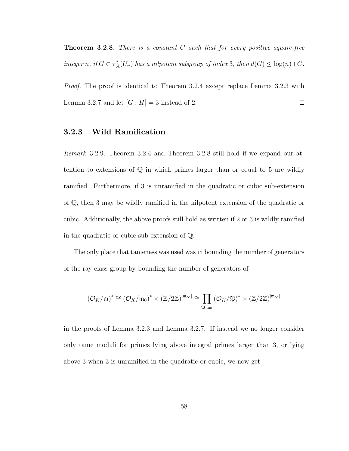**Theorem 3.2.8.** There is a constant  $C$  such that for every positive square-free integer n, if  $G \in \pi_A^t(U_n)$  has a nilpotent subgroup of index 3, then  $d(G) \leq \log(n) + C$ .

*Proof.* The proof is identical to Theorem 3.2.4 except replace Lemma 3.2.3 with Lemma 3.2.7 and let  $[G:H] = 3$  instead of 2.  $\Box$ 

#### 3.2.3 Wild Ramification

Remark 3.2.9. Theorem 3.2.4 and Theorem 3.2.8 still hold if we expand our attention to extensions of  $\mathbb Q$  in which primes larger than or equal to 5 are wildly ramified. Furthermore, if 3 is unramified in the quadratic or cubic sub-extension of Q, then 3 may be wildly ramified in the nilpotent extension of the quadratic or cubic. Additionally, the above proofs still hold as written if 2 or 3 is wildly ramified in the quadratic or cubic sub-extension of Q.

The only place that tameness was used was in bounding the number of generators of the ray class group by bounding the number of generators of

$$
(\mathcal{O}_K/\mathfrak{m})^* \cong (\mathcal{O}_K/\mathfrak{m}_0)^* \times (\mathbb{Z}/2\mathbb{Z})^{|\mathfrak{m}_\infty|} \cong \prod_{\mathfrak{P}|\mathfrak{m}_0} (\mathcal{O}_K/\mathfrak{P})^* \times (\mathbb{Z}/2\mathbb{Z})^{|\mathfrak{m}_\infty|}
$$

in the proofs of Lemma 3.2.3 and Lemma 3.2.7. If instead we no longer consider only tame moduli for primes lying above integral primes larger than 3, or lying above 3 when 3 is unramified in the quadratic or cubic, we now get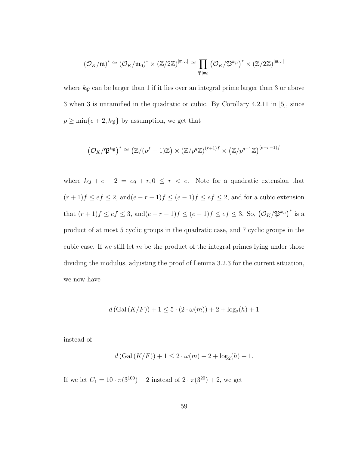$$
(\mathcal{O}_K/\mathfrak{m})^* \cong (\mathcal{O}_K/\mathfrak{m}_0)^* \times (\mathbb{Z}/2\mathbb{Z})^{|\mathfrak{m}_\infty|} \cong \prod_{\mathfrak{P}|\mathfrak{m}_0} (\mathcal{O}_K/\mathfrak{P}^{k_{\mathfrak{P}}})^* \times (\mathbb{Z}/2\mathbb{Z})^{|\mathfrak{m}_\infty|}
$$

where  $k_{\mathfrak{P}}$  can be larger than 1 if it lies over an integral prime larger than 3 or above 3 when 3 is unramified in the quadratic or cubic. By Corollary 4.2.11 in [5], since  $p\geq \min\{e+2,k_{\mathfrak{P}}\}$  by assumption, we get that

$$
(\mathcal{O}_K/\mathfrak{P}^{k_{\mathfrak{P}}})^* \cong (\mathbb{Z}/(p^f-1)\mathbb{Z}) \times (\mathbb{Z}/p^q\mathbb{Z})^{(r+1)f} \times (\mathbb{Z}/p^{q-1}\mathbb{Z})^{(e-r-1)f}
$$

where  $k_{\mathfrak{P}} + e - 2 = eq + r, 0 \leq r < e$ . Note for a quadratic extension that  $(r+1)f \leq ef \leq 2$ , and  $(e-r-1)f \leq (e-1)f \leq ef \leq 2$ , and for a cubic extension that  $(r+1)f \leq ef \leq 3$ , and  $(e-r-1)f \leq (e-1)f \leq ef \leq 3$ . So,  $(\mathcal{O}_K/\mathfrak{P}^{k_{\mathfrak{P}}})^*$  is a product of at most 5 cyclic groups in the quadratic case, and 7 cyclic groups in the cubic case. If we still let  $m$  be the product of the integral primes lying under those dividing the modulus, adjusting the proof of Lemma 3.2.3 for the current situation, we now have

$$
d(Gal(K/F)) + 1 \le 5 \cdot (2 \cdot \omega(m)) + 2 + \log_2(h) + 1
$$

instead of

$$
d(Gal(K/F)) + 1 \le 2 \cdot \omega(m) + 2 + \log_2(h) + 1.
$$

If we let  $C_1 = 10 \cdot \pi(3^{100}) + 2$  instead of  $2 \cdot \pi(3^{20}) + 2$ , we get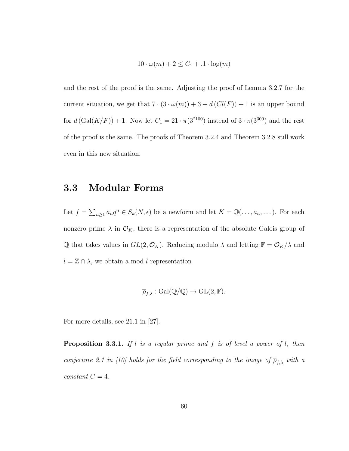$$
10 \cdot \omega(m) + 2 \le C_1 + .1 \cdot \log(m)
$$

and the rest of the proof is the same. Adjusting the proof of Lemma 3.2.7 for the current situation, we get that  $7 \cdot (3 \cdot \omega(m)) + 3 + d(Cl(F)) + 1$  is an upper bound for  $d(Gal(K/F)) + 1$ . Now let  $C_1 = 21 \cdot \pi(3^{2100})$  instead of  $3 \cdot \pi(3^{300})$  and the rest of the proof is the same. The proofs of Theorem 3.2.4 and Theorem 3.2.8 still work even in this new situation.

#### 3.3 Modular Forms

Let  $f = \sum_{n\geq 1} a_n q^n \in S_k(N, \epsilon)$  be a newform and let  $K = \mathbb{Q}(\ldots, a_n, \ldots)$ . For each nonzero prime  $\lambda$  in  $\mathcal{O}_K$ , there is a representation of the absolute Galois group of  $\mathbb Q$  that takes values in  $GL(2,\mathcal O_K)$ . Reducing modulo  $\lambda$  and letting  $\mathbb F = \mathcal O_K/\lambda$  and  $l = \mathbb{Z} \cap \lambda$ , we obtain a mod l representation

$$
\overline{\rho}_{f,\lambda}: \operatorname{Gal}(\overline{\mathbb{Q}}/\mathbb{Q}) \to \operatorname{GL}(2,\mathbb{F}).
$$

For more details, see 21.1 in [27].

**Proposition 3.3.1.** If l is a regular prime and f is of level a power of l, then conjecture 2.1 in [10] holds for the field corresponding to the image of  $\overline{\rho}_{f,\lambda}$  with a  $constant C = 4.$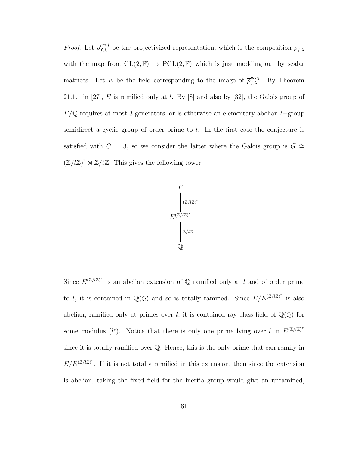*Proof.* Let  $\overline{\rho}_{f,\lambda}^{proj}$  be the projectivized representation, which is the composition  $\overline{\rho}_{f,\lambda}$ with the map from  $GL(2, \mathbb{F}) \to PGL(2, \mathbb{F})$  which is just modding out by scalar matrices. Let E be the field corresponding to the image of  $\bar{\rho}_{f,\lambda}^{proj}$ . By Theorem 21.1.1 in [27], E is ramified only at l. By  $[8]$  and also by [32], the Galois group of  $E/\mathbb{Q}$  requires at most 3 generators, or is otherwise an elementary abelian l−group semidirect a cyclic group of order prime to l. In the first case the conjecture is satisfied with  $C = 3$ , so we consider the latter where the Galois group is  $G \cong$  $(\mathbb{Z}/l\mathbb{Z})^r \rtimes \mathbb{Z}/l\mathbb{Z}$ . This gives the following tower:



.

Since  $E^{(\mathbb{Z}/l\mathbb{Z})^r}$  is an abelian extension of Q ramified only at l and of order prime to l, it is contained in  $\mathbb{Q}(\zeta_l)$  and so is totally ramified. Since  $E/E^{(\mathbb{Z}/l\mathbb{Z})^r}$  is also abelian, ramified only at primes over l, it is contained ray class field of  $\mathbb{Q}(\zeta_l)$  for some modulus (l<sup>s</sup>). Notice that there is only one prime lying over l in  $E^{(\mathbb{Z}/l\mathbb{Z})^r}$ since it is totally ramified over Q. Hence, this is the only prime that can ramify in  $E/E^{(\mathbb{Z}/l\mathbb{Z})^r}$ . If it is not totally ramified in this extension, then since the extension is abelian, taking the fixed field for the inertia group would give an unramified,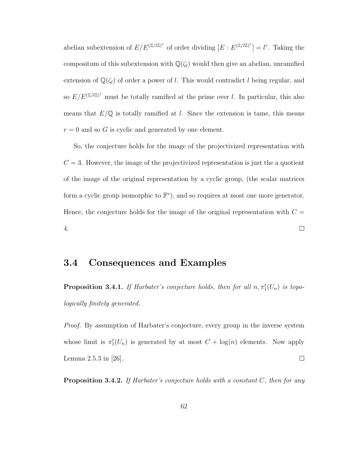abelian subextension of  $E/E^{(\mathbb{Z}/l\mathbb{Z})^r}$  of order dividing  $[E : E^{(\mathbb{Z}/l\mathbb{Z})^r}] = l^r$ . Taking the compositum of this subextension with  $\mathbb{Q}(\zeta)$  would then give an abelian, unramified extension of  $\mathbb{Q}(\zeta_l)$  of order a power of l. This would contradict l being regular, and so  $E/E^{(\mathbb{Z}/l\mathbb{Z})^r}$  must be totally ramified at the prime over l. In particular, this also means that  $E/\mathbb{Q}$  is totally ramified at l. Since the extension is tame, this means  $r = 0$  and so G is cyclic and generated by one element.

So, the conjecture holds for the image of the projectivized representation with  $C = 3$ . However, the image of the projectivized representation is just the a quotient of the image of the original representation by a cyclic group, (the scalar matrices form a cyclic group isomorphic to  $\mathbb{F}^*$ , and so requires at most one more generator. Hence, the conjecture holds for the image of the original representation with  $C =$  $\Box$ 4.

#### 3.4 Consequences and Examples

**Proposition 3.4.1.** If Harbater's conjecture holds, then for all  $n, \pi_1^t(U_n)$  is topologically finitely generated.

Proof. By assumption of Harbater's conjecture, every group in the inverse system whose limit is  $\pi_1^t(U_n)$  is generated by at most  $C + \log(n)$  elements. Now apply Lemma 2.5.3 in [26].  $\Box$ 

**Proposition 3.4.2.** If Harbater's conjecture holds with a constant  $C$ , then for any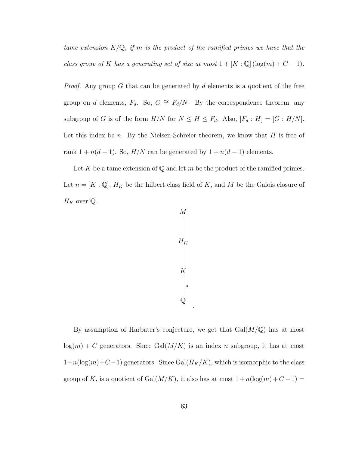tame extension  $K/\mathbb{Q}$ , if m is the product of the ramified primes we have that the class group of K has a generating set of size at most  $1 + [K : \mathbb{Q}] (\log(m) + C - 1)$ .

*Proof.* Any group G that can be generated by d elements is a quotient of the free group on d elements,  $F_d$ . So,  $G \cong F_d/N$ . By the correspondence theorem, any subgroup of G is of the form  $H/N$  for  $N \leq H \leq F_d$ . Also,  $[F_d : H] = [G : H/N]$ . Let this index be n. By the Nielsen-Schreier theorem, we know that  $H$  is free of rank  $1 + n(d - 1)$ . So,  $H/N$  can be generated by  $1 + n(d - 1)$  elements.

Let K be a tame extension of  $\mathbb Q$  and let m be the product of the ramified primes. Let  $n = [K : \mathbb{Q}], H_K$  be the hilbert class field of K, and M be the Galois closure of  $H_K$  over  $\mathbb Q$ .



.

By assumption of Harbater's conjecture, we get that  $Gal(M/\mathbb{Q})$  has at most  $log(m) + C$  generators. Since Gal $(M/K)$  is an index n subgroup, it has at most  $1+n(\log(m)+C-1)$  generators. Since Gal $(H_K/K)$ , which is isomorphic to the class group of K, is a quotient of Gal $(M/K)$ , it also has at most  $1 + n(\log(m) + C - 1) =$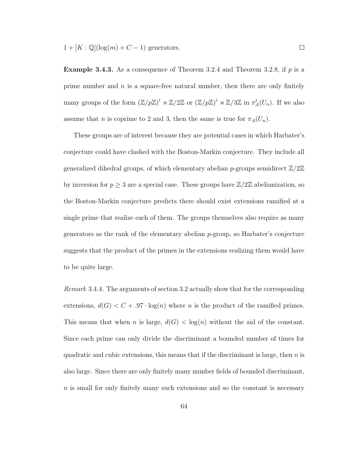$1 + [K : \mathbb{Q}](\log(m) + C - 1)$  generators.

**Example 3.4.3.** As a consequence of Theorem 3.2.4 and Theorem 3.2.8, if  $p$  is a prime number and  $n$  is a square-free natural number, then there are only finitely many groups of the form  $(\mathbb{Z}/p\mathbb{Z})^i \rtimes \mathbb{Z}/2\mathbb{Z}$  or  $(\mathbb{Z}/p\mathbb{Z})^i \rtimes \mathbb{Z}/3\mathbb{Z}$  in  $\pi_A^t(U_n)$ . If we also assume that *n* is coprime to 2 and 3, then the same is true for  $\pi_A(U_n)$ .

These groups are of interest because they are potential cases in which Harbater's conjecture could have clashed with the Boston-Markin conjecture. They include all generalized dihedral groups, of which elementary abelian p-groups semidirect  $\mathbb{Z}/2\mathbb{Z}$ by inversion for  $p \geq 3$  are a special case. These groups have  $\mathbb{Z}/2\mathbb{Z}$  abelianization, so the Boston-Markin conjecture predicts there should exist extensions ramified at a single prime that realize each of them. The groups themselves also require as many generators as the rank of the elementary abelian  $p$ -group, so Harbater's conjecture suggests that the product of the primes in the extensions realizing them would have to be quite large.

Remark 3.4.4. The arguments of section 3.2 actually show that for the corresponding extensions,  $d(G) < C + .97 \cdot \log(n)$  where *n* is the product of the ramified primes. This means that when *n* is large,  $d(G) < log(n)$  without the aid of the constant. Since each prime can only divide the discriminant a bounded number of times for quadratic and cubic extensions, this means that if the discriminant is large, then  $n$  is also large. Since there are only finitely many number fields of bounded discriminant,  $n$  is small for only finitely many such extensions and so the constant is necessary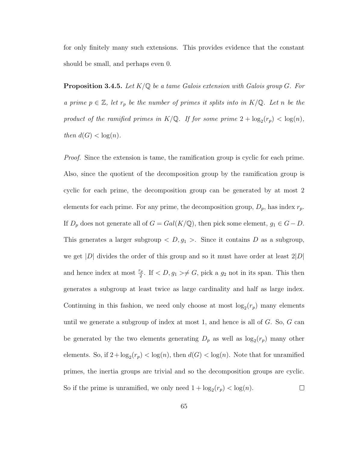for only finitely many such extensions. This provides evidence that the constant should be small, and perhaps even 0.

**Proposition 3.4.5.** Let  $K/\mathbb{Q}$  be a tame Galois extension with Galois group G. For a prime  $p \in \mathbb{Z}$ , let  $r_p$  be the number of primes it splits into in  $K/\mathbb{Q}$ . Let n be the product of the ramified primes in  $K/\mathbb{Q}$ . If for some prime  $2 + \log_2(r_p) < \log(n)$ , then  $d(G) < log(n)$ .

Proof. Since the extension is tame, the ramification group is cyclic for each prime. Also, since the quotient of the decomposition group by the ramification group is cyclic for each prime, the decomposition group can be generated by at most 2 elements for each prime. For any prime, the decomposition group,  $D_p$ , has index  $r_p$ . If  $D_p$  does not generate all of  $G = Gal(K/\mathbb{Q})$ , then pick some element,  $g_1 \in G - D$ . This generates a larger subgroup  $\langle D, g_1 \rangle$ . Since it contains D as a subgroup, we get |D| divides the order of this group and so it must have order at least  $2|D|$ and hence index at most  $\frac{r_p}{2}$ . If  $\lt D, g_1 \gt \neq G$ , pick a  $g_2$  not in its span. This then generates a subgroup at least twice as large cardinality and half as large index. Continuing in this fashion, we need only choose at most  $\log_2(r_p)$  many elements until we generate a subgroup of index at most 1, and hence is all of  $G$ . So,  $G$  can be generated by the two elements generating  $D_p$  as well as  $log_2(r_p)$  many other elements. So, if  $2 + \log_2(r_p) < \log(n)$ , then  $d(G) < \log(n)$ . Note that for unramified primes, the inertia groups are trivial and so the decomposition groups are cyclic. So if the prime is unramified, we only need  $1 + \log_2(r_p) < \log(n)$ .  $\Box$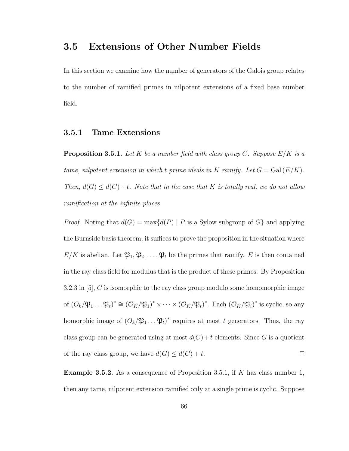## 3.5 Extensions of Other Number Fields

In this section we examine how the number of generators of the Galois group relates to the number of ramified primes in nilpotent extensions of a fixed base number field.

## 3.5.1 Tame Extensions

**Proposition 3.5.1.** Let K be a number field with class group C. Suppose  $E/K$  is a tame, nilpotent extension in which t prime ideals in K ramify. Let  $G = \text{Gal}(E/K)$ . Then,  $d(G) \leq d(C) + t$ . Note that in the case that K is totally real, we do not allow ramification at the infinite places.

*Proof.* Noting that  $d(G) = \max\{d(P) | P$  is a Sylow subgroup of G and applying the Burnside basis theorem, it suffices to prove the proposition in the situation where  $E/K$  is abelian. Let  $\mathfrak{P}_1, \mathfrak{P}_2, \ldots, \mathfrak{P}_t$  be the primes that ramify. E is then contained in the ray class field for modulus that is the product of these primes. By Proposition 3.2.3 in [5], C is isomorphic to the ray class group modulo some homomorphic image of  $(O_k/\mathfrak{P}_1 \dots \mathfrak{P}_t)^* \cong (O_K/\mathfrak{P}_1)^* \times \dots \times (O_K/\mathfrak{P}_t)^*$ . Each  $(O_K/\mathfrak{P}_i)^*$  is cyclic, so any homorphic image of  $(O_k/\mathfrak{P}_1 \dots \mathfrak{P}_t)^*$  requires at most t generators. Thus, the ray class group can be generated using at most  $d(C) + t$  elements. Since G is a quotient of the ray class group, we have  $d(G) \leq d(C) + t$ .  $\Box$ 

**Example 3.5.2.** As a consequence of Proposition 3.5.1, if K has class number 1, then any tame, nilpotent extension ramified only at a single prime is cyclic. Suppose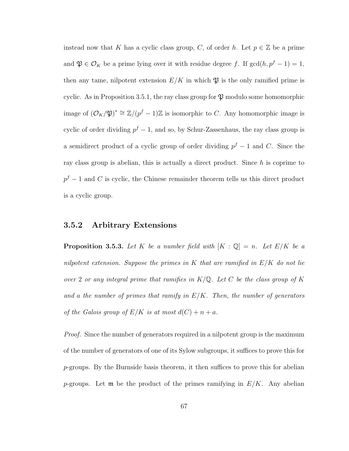instead now that K has a cyclic class group, C, of order h. Let  $p \in \mathbb{Z}$  be a prime and  $\mathfrak{P} \in \mathcal{O}_K$  be a prime lying over it with residue degree f. If  $gcd(h, p^f - 1) = 1$ , then any tame, nilpotent extension  $E/K$  in which  $\mathfrak{P}$  is the only ramified prime is cyclic. As in Proposition 3.5.1, the ray class group for  $\mathfrak P$  modulo some homomorphic image of  $(\mathcal{O}_K/\mathfrak{P})^* \cong \mathbb{Z}/(p^f-1)\mathbb{Z}$  is isomorphic to C. Any homomorphic image is cyclic of order dividing  $p^f - 1$ , and so, by Schur-Zassenhaus, the ray class group is a semidirect product of a cyclic group of order dividing  $p^f - 1$  and C. Since the ray class group is abelian, this is actually a direct product. Since  $h$  is coprime to  $p<sup>f</sup> - 1$  and C is cyclic, the Chinese remainder theorem tells us this direct product is a cyclic group.

## 3.5.2 Arbitrary Extensions

**Proposition 3.5.3.** Let K be a number field with  $[K : \mathbb{Q}] = n$ . Let  $E/K$  be a nilpotent extension. Suppose the primes in  $K$  that are ramified in  $E/K$  do not lie over 2 or any integral prime that ramifies in  $K/\mathbb{Q}$ . Let C be the class group of K and a the number of primes that ramify in  $E/K$ . Then, the number of generators of the Galois group of  $E/K$  is at most  $d(C) + n + a$ .

Proof. Since the number of generators required in a nilpotent group is the maximum of the number of generators of one of its Sylow subgroups, it suffices to prove this for p-groups. By the Burnside basis theorem, it then suffices to prove this for abelian p-groups. Let  $\mathfrak m$  be the product of the primes ramifying in  $E/K$ . Any abelian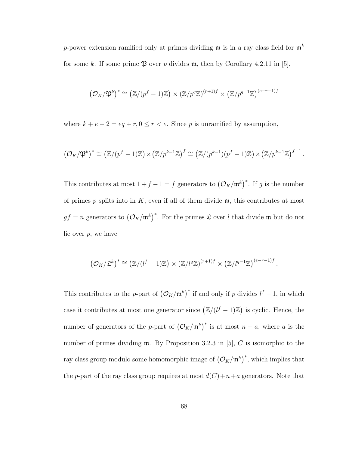p-power extension ramified only at primes dividing  $\mathfrak{m}$  is in a ray class field for  $\mathfrak{m}^k$ for some k. If some prime  $\mathfrak P$  over p divides m, then by Corollary 4.2.11 in [5],

$$
(\mathcal{O}_K/\mathfrak{P}^k)^* \cong \left(\mathbb{Z}/(p^f-1)\mathbb{Z}\right) \times \left(\mathbb{Z}/p^q\mathbb{Z}\right)^{(r+1)f} \times \left(\mathbb{Z}/p^{q-1}\mathbb{Z}\right)^{(e-r-1)f}
$$

where  $k + e - 2 = eq + r, 0 \le r < e$ . Since p is unramified by assumption,

$$
\left(\mathcal{O}_K/\mathfrak{P}^k\right)^* \cong \left(\mathbb{Z}/(p^f-1)\mathbb{Z}\right) \times \left(\mathbb{Z}/p^{k-1}\mathbb{Z}\right)^f \cong \left(\mathbb{Z}/(p^{k-1})(p^f-1)\mathbb{Z}\right) \times \left(\mathbb{Z}/p^{k-1}\mathbb{Z}\right)^{f-1}.
$$

This contributes at most  $1+f-1=f$  generators to  $(\mathcal{O}_K/\mathfrak{m}^k)^*$ . If g is the number of primes  $p$  splits into in  $K$ , even if all of them divide  $\mathfrak{m}$ , this contributes at most  $gf = n$  generators to  $(\mathcal{O}_K/\mathfrak{m}^k)^*$ . For the primes  $\mathfrak L$  over l that divide m but do not lie over  $p$ , we have

$$
\left(\mathcal{O}_K/\mathfrak{L}^k\right)^* \cong \left(\mathbb{Z}/(l^f-1)\mathbb{Z}\right) \times \left(\mathbb{Z}/l^q\mathbb{Z}\right)^{(r+1)f} \times \left(\mathbb{Z}/l^{q-1}\mathbb{Z}\right)^{(e-r-1)f}
$$

.

This contributes to the p-part of  $(\mathcal{O}_K/\mathfrak{m}^k)^*$  if and only if p divides  $l^f-1$ , in which case it contributes at most one generator since  $(\mathbb{Z}/(l^f-1)\mathbb{Z})$  is cyclic. Hence, the number of generators of the p-part of  $(\mathcal{O}_K/\mathfrak{m}^k)^*$  is at most  $n + a$ , where a is the number of primes dividing  $m$ . By Proposition 3.2.3 in [5], C is isomorphic to the ray class group modulo some homomorphic image of  $\left(\mathcal{O}_K/\mathfrak{m}^k\right)^*$ , which implies that the p-part of the ray class group requires at most  $d(C)+n+a$  generators. Note that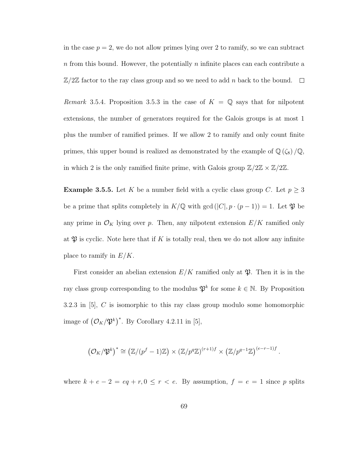in the case  $p = 2$ , we do not allow primes lying over 2 to ramify, so we can subtract  $n$  from this bound. However, the potentially  $n$  infinite places can each contribute a  $\mathbb{Z}/2\mathbb{Z}$  factor to the ray class group and so we need to add n back to the bound.  $\Box$ 

Remark 3.5.4. Proposition 3.5.3 in the case of  $K = \mathbb{Q}$  says that for nilpotent extensions, the number of generators required for the Galois groups is at most 1 plus the number of ramified primes. If we allow 2 to ramify and only count finite primes, this upper bound is realized as demonstrated by the example of  $\mathbb{Q}(\zeta_8)/\mathbb{Q}$ , in which 2 is the only ramified finite prime, with Galois group  $\mathbb{Z}/2\mathbb{Z} \times \mathbb{Z}/2\mathbb{Z}$ .

**Example 3.5.5.** Let K be a number field with a cyclic class group C. Let  $p \ge 3$ be a prime that splits completely in  $K/\mathbb{Q}$  with gcd  $(|C|, p \cdot (p-1)) = 1$ . Let  $\mathfrak{P}$  be any prime in  $\mathcal{O}_K$  lying over p. Then, any nilpotent extension  $E/K$  ramified only at  $\mathfrak P$  is cyclic. Note here that if K is totally real, then we do not allow any infinite place to ramify in  $E/K$ .

First consider an abelian extension  $E/K$  ramified only at  $\mathfrak{P}$ . Then it is in the ray class group corresponding to the modulus  $\mathfrak{P}^k$  for some  $k \in \mathbb{N}$ . By Proposition 3.2.3 in  $[5]$ , C is isomorphic to this ray class group modulo some homomorphic image of  $(\mathcal{O}_K/\mathfrak{P}^k)^*$ . By Corollary 4.2.11 in [5],

$$
\left(\mathcal{O}_K/\mathfrak{P}^k\right)^* \cong \left(\mathbb{Z}/(p^f-1)\mathbb{Z}\right) \times \left(\mathbb{Z}/p^q\mathbb{Z}\right)^{(r+1)f} \times \left(\mathbb{Z}/p^{q-1}\mathbb{Z}\right)^{(e-r-1)f}.
$$

where  $k + e - 2 = eq + r, 0 \le r < e$ . By assumption,  $f = e = 1$  since p splits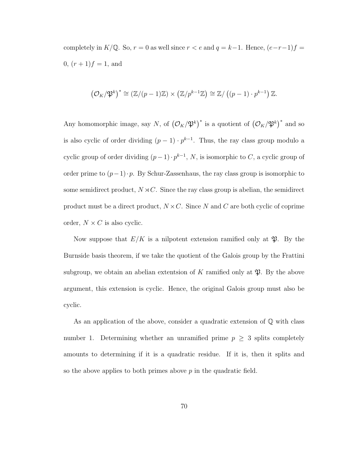completely in K/Q. So,  $r = 0$  as well since  $r < e$  and  $q = k-1$ . Hence,  $(e-r-1)f =$ 0,  $(r + 1)f = 1$ , and

$$
(\mathcal{O}_K/\mathfrak{P}^k)^* \cong (\mathbb{Z}/(p-1)\mathbb{Z}) \times (\mathbb{Z}/p^{k-1}\mathbb{Z}) \cong \mathbb{Z}/((p-1)\cdot p^{k-1})\mathbb{Z}.
$$

Any homomorphic image, say N, of  $(\mathcal{O}_K/\mathfrak{P}^k)^*$  is a quotient of  $(\mathcal{O}_K/\mathfrak{P}^k)^*$  and so is also cyclic of order dividing  $(p-1) \cdot p^{k-1}$ . Thus, the ray class group modulo a cyclic group of order dividing  $(p-1) \cdot p^{k-1}$ , N, is isomorphic to C, a cyclic group of order prime to  $(p-1)\cdot p$ . By Schur-Zassenhaus, the ray class group is isomorphic to some semidirect product,  $N \rtimes C$ . Since the ray class group is abelian, the semidirect product must be a direct product,  $N \times C$ . Since N and C are both cyclic of coprime order,  $N \times C$  is also cyclic.

Now suppose that  $E/K$  is a nilpotent extension ramified only at  $\mathfrak{P}$ . By the Burnside basis theorem, if we take the quotient of the Galois group by the Frattini subgroup, we obtain an abelian extentsion of K ramified only at  $\mathfrak{P}$ . By the above argument, this extension is cyclic. Hence, the original Galois group must also be cyclic.

As an application of the above, consider a quadratic extension of Q with class number 1. Determining whether an unramified prime  $p \geq 3$  splits completely amounts to determining if it is a quadratic residue. If it is, then it splits and so the above applies to both primes above  $p$  in the quadratic field.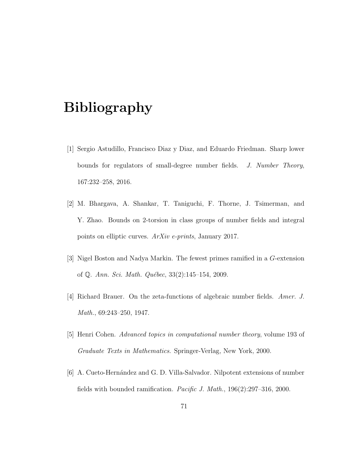## Bibliography

- [1] Sergio Astudillo, Francisco Diaz y Diaz, and Eduardo Friedman. Sharp lower bounds for regulators of small-degree number fields. J. Number Theory, 167:232–258, 2016.
- [2] M. Bhargava, A. Shankar, T. Taniguchi, F. Thorne, J. Tsimerman, and Y. Zhao. Bounds on 2-torsion in class groups of number fields and integral points on elliptic curves. ArXiv e-prints, January 2017.
- [3] Nigel Boston and Nadya Markin. The fewest primes ramified in a G-extension of Q. Ann. Sci. Math. Québec,  $33(2):145-154$ , 2009.
- [4] Richard Brauer. On the zeta-functions of algebraic number fields. Amer. J. Math., 69:243–250, 1947.
- [5] Henri Cohen. Advanced topics in computational number theory, volume 193 of Graduate Texts in Mathematics. Springer-Verlag, New York, 2000.
- [6] A. Cueto-Hernández and G. D. Villa-Salvador. Nilpotent extensions of number fields with bounded ramification. Pacific J. Math., 196(2):297–316, 2000.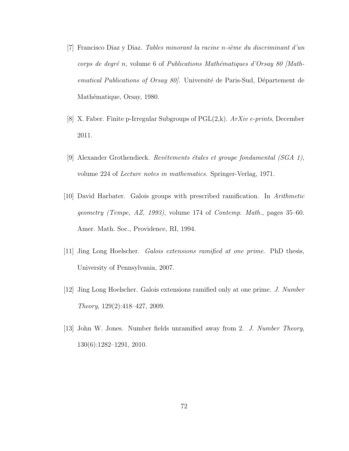- [7] Francisco Diaz y Diaz. Tables minorant la racine n-ième du discriminant d'un corps de degré n, volume 6 of Publications Mathématiques d'Orsay 80 [Mathematical Publications of Orsay 80. Université de Paris-Sud, Département de Mathématique, Orsay, 1980.
- [8] X. Faber. Finite p-Irregular Subgroups of PGL(2,k). ArXiv e-prints, December 2011.
- [9] Alexander Grothendieck. Revêtements étales et groupe fondamental (SGA 1), volume 224 of Lecture notes in mathematics. Springer-Verlag, 1971.
- [10] David Harbater. Galois groups with prescribed ramification. In Arithmetic geometry (Tempe, AZ, 1993), volume 174 of Contemp. Math., pages 35–60. Amer. Math. Soc., Providence, RI, 1994.
- [11] Jing Long Hoelscher. Galois extensions ramified at one prime. PhD thesis, University of Pennsylvania, 2007.
- [12] Jing Long Hoelscher. Galois extensions ramified only at one prime. J. Number Theory, 129(2):418–427, 2009.
- [13] John W. Jones. Number fields unramified away from 2. J. Number Theory, 130(6):1282–1291, 2010.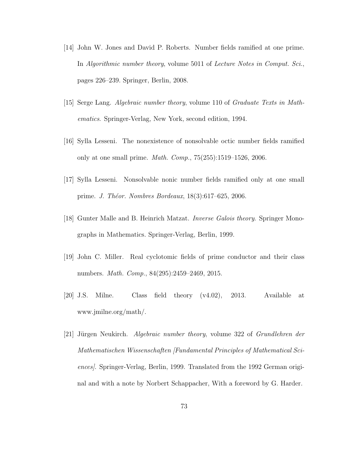- [14] John W. Jones and David P. Roberts. Number fields ramified at one prime. In Algorithmic number theory, volume 5011 of Lecture Notes in Comput. Sci., pages 226–239. Springer, Berlin, 2008.
- [15] Serge Lang. Algebraic number theory, volume 110 of Graduate Texts in Mathematics. Springer-Verlag, New York, second edition, 1994.
- [16] Sylla Lesseni. The nonexistence of nonsolvable octic number fields ramified only at one small prime. Math. Comp., 75(255):1519–1526, 2006.
- [17] Sylla Lesseni. Nonsolvable nonic number fields ramified only at one small prime. *J. Théor. Nombres Bordeaux*, 18(3):617–625, 2006.
- [18] Gunter Malle and B. Heinrich Matzat. Inverse Galois theory. Springer Monographs in Mathematics. Springer-Verlag, Berlin, 1999.
- [19] John C. Miller. Real cyclotomic fields of prime conductor and their class numbers. Math. Comp., 84(295):2459–2469, 2015.
- [20] J.S. Milne. Class field theory (v4.02), 2013. Available at www.jmilne.org/math/.
- [21] Jürgen Neukirch. Algebraic number theory, volume 322 of Grundlehren der Mathematischen Wissenschaften [Fundamental Principles of Mathematical Sciences]. Springer-Verlag, Berlin, 1999. Translated from the 1992 German original and with a note by Norbert Schappacher, With a foreword by G. Harder.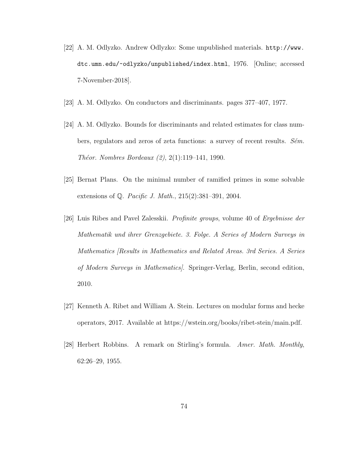- [22] A. M. Odlyzko. Andrew Odlyzko: Some unpublished materials. http://www. dtc.umn.edu/~odlyzko/unpublished/index.html, 1976. [Online; accessed 7-November-2018].
- [23] A. M. Odlyzko. On conductors and discriminants. pages 377–407, 1977.
- [24] A. M. Odlyzko. Bounds for discriminants and related estimates for class numbers, regulators and zeros of zeta functions: a survey of recent results.  $S\acute{e}m$ . *Théor. Nombres Bordeaux*  $(2), 2(1)$ *:119–141, 1990.*
- [25] Bernat Plans. On the minimal number of ramified primes in some solvable extensions of Q. Pacific J. Math., 215(2):381–391, 2004.
- [26] Luis Ribes and Pavel Zalesskii. Profinite groups, volume 40 of Ergebnisse der Mathematik und ihrer Grenzgebiete. 3. Folge. A Series of Modern Surveys in Mathematics [Results in Mathematics and Related Areas. 3rd Series. A Series of Modern Surveys in Mathematics]. Springer-Verlag, Berlin, second edition, 2010.
- [27] Kenneth A. Ribet and William A. Stein. Lectures on modular forms and hecke operators, 2017. Available at https://wstein.org/books/ribet-stein/main.pdf.
- [28] Herbert Robbins. A remark on Stirling's formula. Amer. Math. Monthly, 62:26–29, 1955.